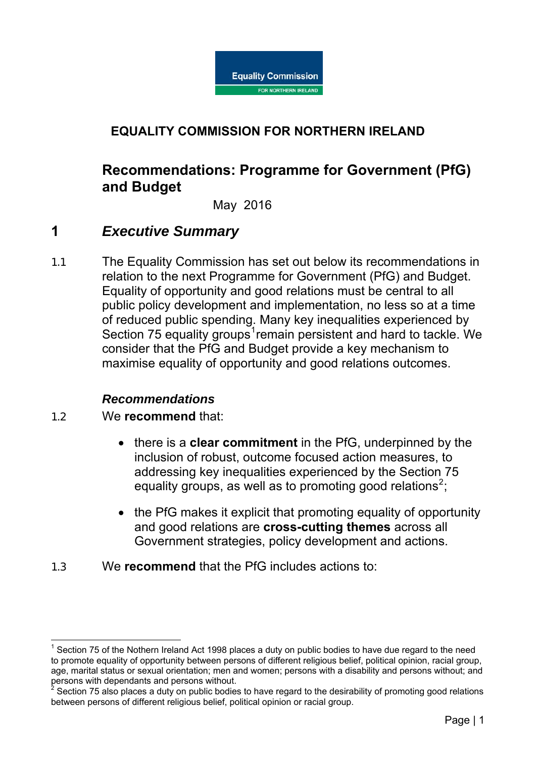

## **EQUALITY COMMISSION FOR NORTHERN IRELAND**

# **Recommendations: Programme for Government (PfG) and Budget**

#### May 2016

## **1** *Executive Summary*

1.1 The Equality Commission has set out below its recommendations in relation to the next Programme for Government (PfG) and Budget. Equality of opportunity and good relations must be central to all public policy development and implementation, no less so at a time of reduced public spending. Many key inequalities experienced by Section 75 equality groups<sup>[1](#page-0-0)</sup>remain persistent and hard to tackle. We consider that the PfG and Budget provide a key mechanism to maximise equality of opportunity and good relations outcomes.

#### *Recommendations*

1.2 We **recommend** that:

- there is a **clear commitment** in the PfG, underpinned by the inclusion of robust, outcome focused action measures, to addressing key inequalities experienced by the Section 75 equality groups, as well as to promoting good relations<sup>[2](#page-0-1)</sup>;
- the PfG makes it explicit that promoting equality of opportunity and good relations are **cross-cutting themes** across all Government strategies, policy development and actions.
- 1.3 We **recommend** that the PfG includes actions to:

<span id="page-0-0"></span> $1$  Section 75 of the Nothern Ireland Act 1998 places a duty on public bodies to have due regard to the need to promote equality of opportunity between persons of different religious belief, political opinion, racial group, age, marital status or sexual orientation; men and women; persons with a disability and persons without; and persons with dependants and persons without.

<span id="page-0-1"></span><sup>2</sup> Section 75 also places a duty on public bodies to have regard to the desirability of promoting good relations between persons of different religious belief, political opinion or racial group.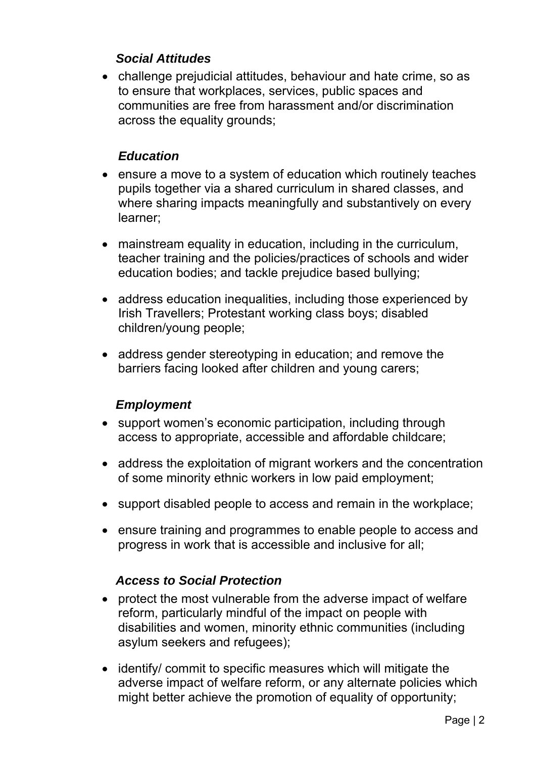## *Social Attitudes*

• challenge prejudicial attitudes, behaviour and hate crime, so as to ensure that workplaces, services, public spaces and communities are free from harassment and/or discrimination across the equality grounds;

## *Education*

- ensure a move to a system of education which routinely teaches pupils together via a shared curriculum in shared classes, and where sharing impacts meaningfully and substantively on every learner;
- mainstream equality in education, including in the curriculum, teacher training and the policies/practices of schools and wider education bodies; and tackle prejudice based bullying;
- address education inequalities, including those experienced by Irish Travellers; Protestant working class boys; disabled children/young people;
- address gender stereotyping in education; and remove the barriers facing looked after children and young carers;

## *Employment*

- support women's economic participation, including through access to appropriate, accessible and affordable childcare;
- address the exploitation of migrant workers and the concentration of some minority ethnic workers in low paid employment;
- support disabled people to access and remain in the workplace;
- ensure training and programmes to enable people to access and progress in work that is accessible and inclusive for all;

## *Access to Social Protection*

- protect the most vulnerable from the adverse impact of welfare reform, particularly mindful of the impact on people with disabilities and women, minority ethnic communities (including asylum seekers and refugees);
- identify/ commit to specific measures which will mitigate the adverse impact of welfare reform, or any alternate policies which might better achieve the promotion of equality of opportunity;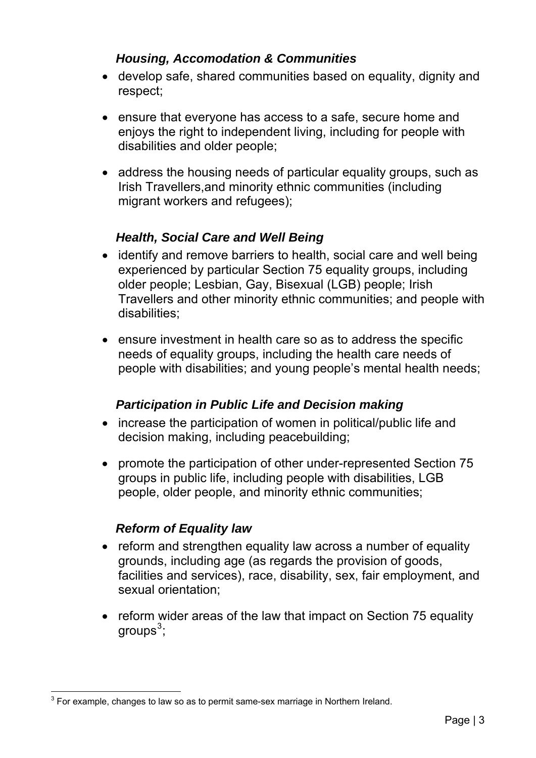## *Housing, Accomodation & Communities*

- develop safe, shared communities based on equality, dignity and respect;
- ensure that everyone has access to a safe, secure home and enjoys the right to independent living, including for people with disabilities and older people;
- address the housing needs of particular equality groups, such as Irish Travellers,and minority ethnic communities (including migrant workers and refugees);

## *Health, Social Care and Well Being*

- identify and remove barriers to health, social care and well being experienced by particular Section 75 equality groups, including older people; Lesbian, Gay, Bisexual (LGB) people; Irish Travellers and other minority ethnic communities; and people with disabilities;
- ensure investment in health care so as to address the specific needs of equality groups, including the health care needs of people with disabilities; and young people's mental health needs;

### *Participation in Public Life and Decision making*

- increase the participation of women in political/public life and decision making, including peacebuilding;
- promote the participation of other under-represented Section 75 groups in public life, including people with disabilities, LGB people, older people, and minority ethnic communities;

### *Reform of Equality law*

- reform and strengthen equality law across a number of equality grounds, including age (as regards the provision of goods, facilities and services), race, disability, sex, fair employment, and sexual orientation;
- reform wider areas of the law that impact on Section 75 equality groups $^3;$  $^3;$  $^3;$

<span id="page-2-0"></span> $\overline{a}$  $^3$  For example, changes to law so as to permit same-sex marriage in Northern Ireland.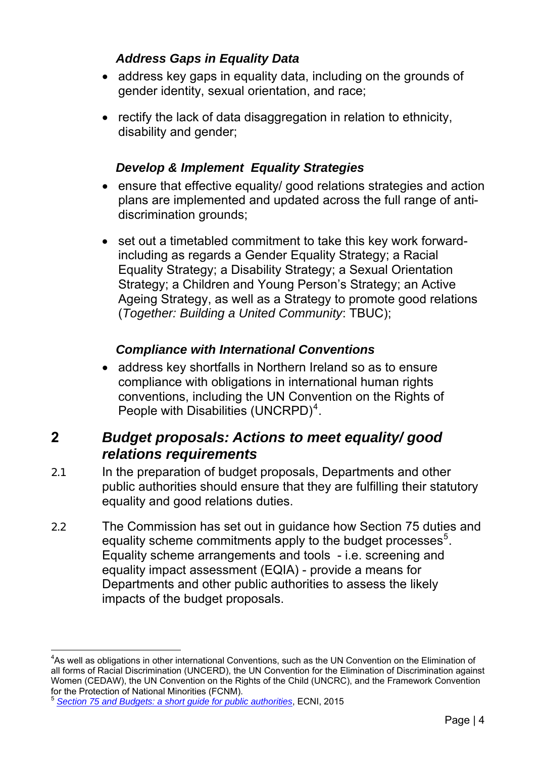## *Address Gaps in Equality Data*

- address key gaps in equality data, including on the grounds of gender identity, sexual orientation, and race;
- rectify the lack of data disaggregation in relation to ethnicity, disability and gender;

## *Develop & Implement Equality Strategies*

- ensure that effective equality/ good relations strategies and action plans are implemented and updated across the full range of antidiscrimination grounds;
- set out a timetabled commitment to take this key work forwardincluding as regards a Gender Equality Strategy; a Racial Equality Strategy; a Disability Strategy; a Sexual Orientation Strategy; a Children and Young Person's Strategy; an Active Ageing Strategy, as well as a Strategy to promote good relations (*Together: Building a United Community*: TBUC);

## *Compliance with International Conventions*

• address key shortfalls in Northern Ireland so as to ensure compliance with obligations in international human rights conventions, including the UN Convention on the Rights of People with Disabilities (UNCRPD) $<sup>4</sup>$  $<sup>4</sup>$  $<sup>4</sup>$ .</sup>

# **2** *Budget proposals: Actions to meet equality/ good relations requirements*

- 2.1 In the preparation of budget proposals, Departments and other public authorities should ensure that they are fulfilling their statutory equality and good relations duties.
- 2.2 The Commission has set out in guidance how Section 75 duties and equality scheme commitments apply to the budget processes<sup>[5](#page-3-1)</sup>. Equality scheme arrangements and tools - i.e. screening and equality impact assessment (EQIA) - provide a means for Departments and other public authorities to assess the likely impacts of the budget proposals.

<span id="page-3-0"></span> $\overline{a}$  ${\rm ^4As}$  well as obligations in other international Conventions, such as the UN Convention on the Elimination of all forms of Racial Discrimination (UNCERD), the UN Convention for the Elimination of Discrimination against Women (CEDAW), the UN Convention on the Rights of the Child (UNCRC), and the Framework Convention for the Protection of National Minorities (FCNM).

<span id="page-3-1"></span><sup>5</sup> *[Section 75 and Budgets: a short guide for public authorities](http://www.equalityni.org/ECNI/media/ECNI/Publications/Employers%20and%20Service%20Providers/Public%20Authorities/Section_75_and_Budgets_short_guide.pdf?ext=.pdf)*, ECNI, 2015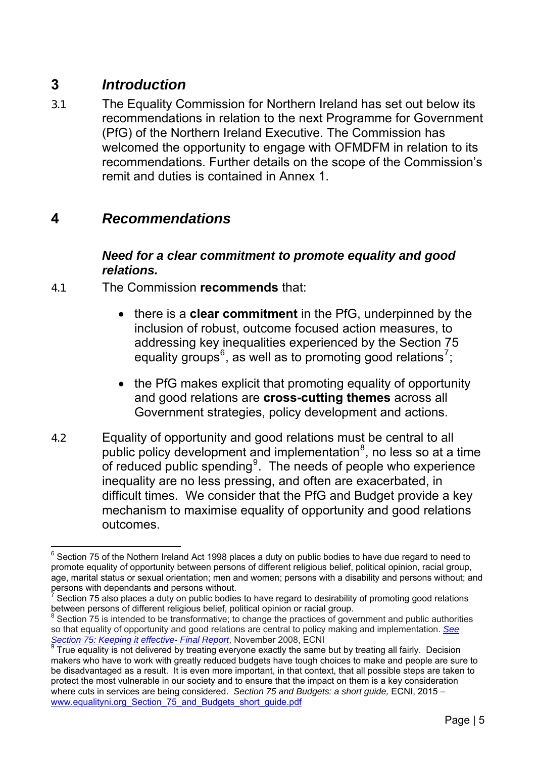# **3** *Introduction*

3.1 The Equality Commission for Northern Ireland has set out below its recommendations in relation to the next Programme for Government (PfG) of the Northern Ireland Executive. The Commission has welcomed the opportunity to engage with OFMDFM in relation to its recommendations. Further details on the scope of the Commission's remit and duties is contained in Annex 1.

## **4** *Recommendations*

### *Need for a clear commitment to promote equality and good relations.*

- 4.1 The Commission **recommends** that:
	- there is a **clear commitment** in the PfG, underpinned by the inclusion of robust, outcome focused action measures, to addressing key inequalities experienced by the Section 75 equality groups<sup>[6](#page-4-0)</sup>, as well as to promoting good relations<sup>[7](#page-4-1)</sup>;
	- the PfG makes explicit that promoting equality of opportunity and good relations are **cross-cutting themes** across all Government strategies, policy development and actions.
- 4.2 Equality of opportunity and good relations must be central to all public policy development and implementation $8$ , no less so at a time of reduced public spending $9$ . The needs of people who experience inequality are no less pressing, and often are exacerbated, in difficult times. We consider that the PfG and Budget provide a key mechanism to maximise equality of opportunity and good relations outcomes.

<span id="page-4-0"></span> 6 Section 75 of the Nothern Ireland Act 1998 places a duty on public bodies to have due regard to need to promote equality of opportunity between persons of different religious belief, political opinion, racial group, age, marital status or sexual orientation; men and women; persons with a disability and persons without; and persons with dependants and persons without.

<span id="page-4-1"></span><sup>7</sup>  $\frac{7}{7}$  Section 75 also places a duty on public bodies to have regard to desirability of promoting good relations between persons of different religious belief, political opinion or racial group.

<span id="page-4-2"></span> $8$  Section 75 is intended to be transformative; to change the practices of government and public authorities so that equality of opportunity and good relations are central to policy making and implementation. *[See](http://www.google.co.uk/url?sa=t&rct=j&q=&esrc=s&source=web&cd=1&cad=rja&uact=8&ved=0ahUKEwjf3trH7rXKAhUCoRoKHfeDA3IQFggjMAA&url=http%3A%2F%2Fwww.equalityni.org%2FECNI%2Fmedia%2FECNI%2FPublications%2FDelivering%2520Equality%2FKeeping-it-effectiveS75ReviewF)  [Section 75: Keeping it effective- Final Report](http://www.google.co.uk/url?sa=t&rct=j&q=&esrc=s&source=web&cd=1&cad=rja&uact=8&ved=0ahUKEwjf3trH7rXKAhUCoRoKHfeDA3IQFggjMAA&url=http%3A%2F%2Fwww.equalityni.org%2FECNI%2Fmedia%2FECNI%2FPublications%2FDelivering%2520Equality%2FKeeping-it-effectiveS75ReviewF)*, November 2008, ECNI

<span id="page-4-3"></span> $9$  True equality is not delivered by treating everyone exactly the same but by treating all fairly. Decision makers who have to work with greatly reduced budgets have tough choices to make and people are sure to be disadvantaged as a result. It is even more important, in that context, that all possible steps are taken to protect the most vulnerable in our society and to ensure that the impact on them is a key consideration where cuts in services are being considered. Section 75 and Budgets: a short guide, ECNI, 2015 – [www.equalityni.org\\_Section\\_75\\_and\\_Budgets\\_short\\_guide.pdf](http://www.equalityni.org/ECNI/media/ECNI/Publications/Employers%20and%20Service%20Providers/Public%20Authorities/Section_75_and_Budgets_short_guide.pdf)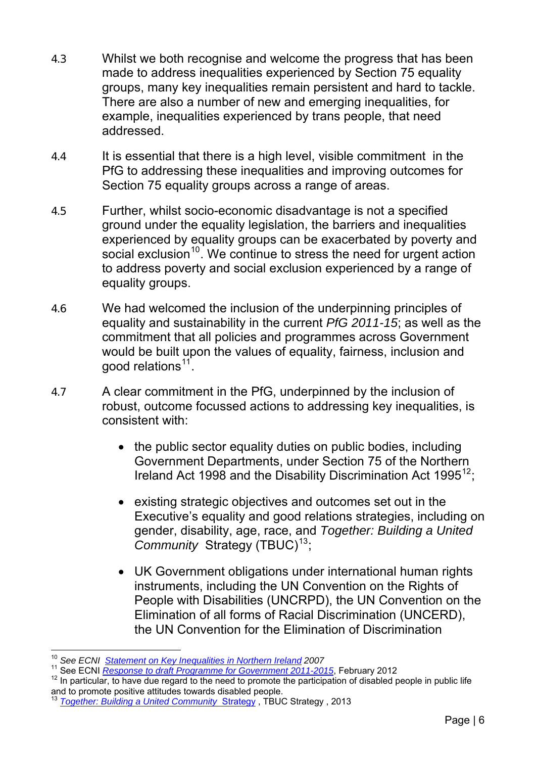- 4.3 Whilst we both recognise and welcome the progress that has been made to address inequalities experienced by Section 75 equality groups, many key inequalities remain persistent and hard to tackle. There are also a number of new and emerging inequalities, for example, inequalities experienced by trans people, that need addressed.
- 4.4 It is essential that there is a high level, visible commitment in the PfG to addressing these inequalities and improving outcomes for Section 75 equality groups across a range of areas.
- 4.5 Further, whilst socio-economic disadvantage is not a specified ground under the equality legislation, the barriers and inequalities experienced by equality groups can be exacerbated by poverty and social exclusion<sup>[10](#page-5-0)</sup>. We continue to stress the need for urgent action to address poverty and social exclusion experienced by a range of equality groups.
- 4.6 We had welcomed the inclusion of the underpinning principles of equality and sustainability in the current *PfG 2011-15*; as well as the commitment that all policies and programmes across Government would be built upon the values of equality, fairness, inclusion and good relations $11$ .
- 4.7 A clear commitment in the PfG, underpinned by the inclusion of robust, outcome focussed actions to addressing key inequalities, is consistent with:
	- the public sector equality duties on public bodies, including Government Departments, under Section 75 of the Northern Ireland Act 1998 and the Disability Discrimination Act 1995<sup>[12](#page-5-2)</sup>;
	- existing strategic objectives and outcomes set out in the Executive's equality and good relations strategies, including on gender, disability, age, race, and *Together: Building a United Community* Strategy (TBUC)<sup>[13](#page-5-3)</sup>;
	- UK Government obligations under international human rights instruments, including the UN Convention on the Rights of People with Disabilities (UNCRPD), the UN Convention on the Elimination of all forms of Racial Discrimination (UNCERD), the UN Convention for the Elimination of Discrimination

 $\overline{a}$ <sup>10</sup> *See ECNI [Statement on Key Inequalities in Northern Ireland](http://www.equalityni.org/ECNI/media/ECNI/Publications/Employers%20and%20Service%20Providers/S75%20P10%20investigation%20reports/KeyinequalitiesinNI2007.pdf?ext=.pdf) 2007*

<span id="page-5-2"></span><span id="page-5-1"></span><span id="page-5-0"></span><sup>11</sup> See ECNI *Response to draft Programme for Government 2011-2015*[,](http://www.google.co.uk/url?sa=t&rct=j&q=&esrc=s&source=web&cd=5&cad=rja&uact=8&ved=0ahUKEwjS75Ops7vKAhXCtBoKHcDHDPIQFgg2MAQ&url=http%3A%2F%2Fwww.equalityni.org%2FECNI%2Fmedia%2FECNI%2FConsultation%2520Responses%2F2012%2FProgramme_for_Governemnt-2012.pdf%253) February 2012<br><sup>12</sup> In particul[ar, to have due regard to the need to promote the participat](http://www.google.co.uk/url?sa=t&rct=j&q=&esrc=s&source=web&cd=5&cad=rja&uact=8&ved=0ahUKEwjS75Ops7vKAhXCtBoKHcDHDPIQFgg2MAQ&url=http%3A%2F%2Fwww.equalityni.org%2FECNI%2Fmedia%2FECNI%2FConsultation%2520Responses%2F2012%2FProgramme_for_Governemnt-2012.pdf%253)ion of disabled people in public life and to promote positive attitudes towards disabled people.

<span id="page-5-3"></span><sup>&</sup>lt;sup>13</sup> [Together: Building a United Community](https://www.google.co.uk/url?sa=t&rct=j&q=&esrc=s&source=web&cd=1&cad=rja&uact=8&ved=0ahUKEwivk96ltbvKAhWEbiYKHck7ABwQFggcMAA&url=https%3A%2F%2Fwww.ofmdfmni.gov.uk%2Farticles%2Ftogether-building-united-community&usg=AFQjCNEZ6cMQxjl_dEt70fn-qDTp1PO8WA&bvm=b) Strategy, TBUC Strategy, 2013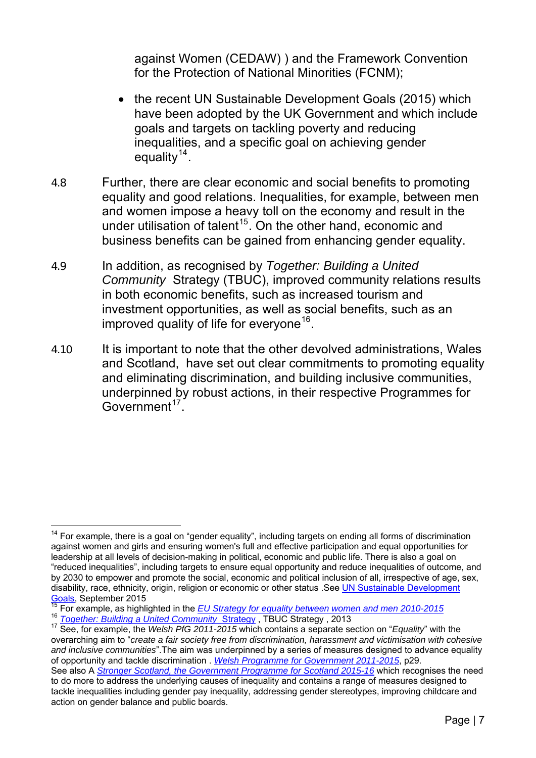against Women (CEDAW) ) and the Framework Convention for the Protection of National Minorities (FCNM);

- the recent UN Sustainable Development Goals (2015) which have been adopted by the UK Government and which include goals and targets on tackling poverty and reducing inequalities, and a specific goal on achieving gender equality  $14$ .
- 4.8 Further, there are clear economic and social benefits to promoting equality and good relations. Inequalities, for example, between men and women impose a heavy toll on the economy and result in the under utilisation of talent<sup>[15](#page-6-1)</sup>. On the other hand, economic and business benefits can be gained from enhancing gender equality.
- 4.9 In addition, as recognised by *Together: Building a United Community* Strategy (TBUC), improved community relations results in both economic benefits, such as increased tourism and investment opportunities, as well as social benefits, such as an improved quality of life for everyone<sup>[16](#page-6-2)</sup>.
- 4.10 It is important to note that the other devolved administrations, Wales and Scotland, have set out clear commitments to promoting equality and eliminating discrimination, and building inclusive communities, underpinned by robust actions, in their respective Programmes for  $Govermment<sup>17</sup>$  $Govermment<sup>17</sup>$  $Govermment<sup>17</sup>$

<span id="page-6-0"></span> $\overline{a}$  $14$  For example, there is a goal on "gender equality", including targets on ending all forms of discrimination against women and girls and ensuring women's full and effective participation and equal opportunities for leadership at all levels of decision-making in political, economic and public life. There is also a goal on "reduced inequalities", including targets to ensure equal opportunity and reduce inequalities of outcome, and by 2030 to empower and promote the social, economic and political inclusion of all, irrespective of age, sex, disability, race, ethnicity, origin, religion or economic or other status .See [UN Sustainable Development](http://www.globalgoals.org/) 

<span id="page-6-3"></span><span id="page-6-2"></span>

<span id="page-6-1"></span>[Goals,](http://www.globalgoals.org/) September 20[15](http://www.globalgoals.org/)<br><sup>15</sup> For example, as highlighted in the <u>EU [Strategy](https://www.google.co.uk/url?sa=t&rct=j&q=&esrc=s&source=web&cd=1&cad=rja&uact=8&ved=0ahUKEwivk96ltbvKAhWEbiYKHck7ABwQFggcMAA&url=https%3A%2F%2Fwww.ofmdfmni.gov.uk%2Farticles%2Ftogether-building-united-community&usg=AFQjCNEZ6cMQxjl_dEt70fn-qDTp1PO8WA&bvm=b) for equality between women and men 2010-2015</u><br><sup>16</sup> <u>Together: Building a United Community Strategy</u> , TBUC Strategy , 2013<br><sup>17</sup> See, for example, overarching aim to "*create a fair society free from discrimination, harassment and victimisation with cohesive and inclusive communities*".The aim was underpinned by a series of measures designed to advance equality of opportunity and tackle discrimination . *[Welsh Programme for Government 2011-2015](http://www.google.co.uk/url?sa=t&rct=j&q=&esrc=s&source=web&cd=3&cad=rja&uact=8&ved=0ahUKEwjE2PmSo9vJAhXMtRQKHSFlAO4QFggqMAI&url=http%3A%2F%2Fwales.gov.uk%2Fdocs%2Fstrategies%2F110929fullen.pdf&usg=AFQjCNE-o8-_rnsBbopCYla1UuUyPGxitw)*, p29. See also A *[Stronger Scotland, the Government Programme for Scotland 2015-16](https://www.google.co.uk/?gws_rd=ssl#q=A+stronger+Scotland)* which recognises the need to do more to address the underlying causes of inequality and contains a range of measures designed to tackle inequalities including gender pay inequality, addressing gender stereotypes, improving childcare and

action on gender balance and public boards.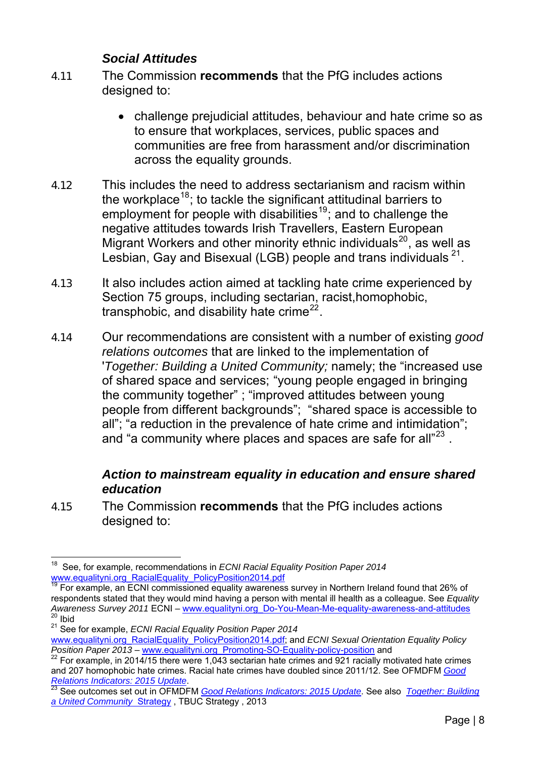### *Social Attitudes*

- 4.11 The Commission **recommends** that the PfG includes actions designed to:
	- challenge prejudicial attitudes, behaviour and hate crime so as to ensure that workplaces, services, public spaces and communities are free from harassment and/or discrimination across the equality grounds.
- 4.12 This includes the need to address sectarianism and racism within the workplace<sup>[18](#page-7-0)</sup>; to tackle the significant attitudinal barriers to employment for people with disabilities<sup>[19](#page-7-1)</sup>; and to challenge the negative attitudes towards Irish Travellers, Eastern European Migrant Workers and other minority ethnic individuals<sup>[20](#page-7-2)</sup>, as well as Lesbian, Gay and Bisexual (LGB) people and trans individuals <sup>[21](#page-7-3)</sup>.
- 4.13 It also includes action aimed at tackling hate crime experienced by Section 75 groups, including sectarian, racist,homophobic, transphobic, and disability hate crime<sup>[22](#page-7-4)</sup>.
- 4.14 Our recommendations are consistent with a number of existing *good relations outcomes* that are linked to the implementation of '*Together: Building a United Community;* namely; the "increased use of shared space and services; "young people engaged in bringing the community together" ; "improved attitudes between young people from different backgrounds"; "shared space is accessible to all"; "a reduction in the prevalence of hate crime and intimidation"; and "a community where places and spaces are safe for all"<sup>[23](#page-7-5)</sup>.

### *Action to mainstream equality in education and ensure shared education*

4.15 The Commission **recommends** that the PfG includes actions designed to:

<span id="page-7-0"></span><sup>18</sup> <sup>18</sup> See, for example, recommendations in *ECNI Racial Equality Position Paper 2014*<br>www.equalityni.org RacialEquality PolicyPosition2014.pdf

<span id="page-7-1"></span> $\frac{19}{19}$  For example, an ECNI commissioned equality awareness survey in Northern Ireland found that 26% of respondents stated that they would mind having a person with mental ill health as a colleague. See *Equality Awareness Survey 2011* ECNI – [www.equalityni.org\\_Do-You-Mean-Me-equality-awareness-and-attitudes](http://www.equalityni.org/Publications/Delivering-Equality/Do-You-Mean-Me-equality-awareness-and-attitudes-su?ID=1245)  $20$  Ibid

<span id="page-7-3"></span><span id="page-7-2"></span><sup>21</sup> See for example, *ECNI Racial Equality Position Paper 2014*

[www.equalityni.org\\_RacialEquality\\_PolicyPosition2014.pdf](http://www.equalityni.org/ECNI/media/ECNI/Publications/Delivering%20Equality/RacialEquality_PolicyPosition2014.pdf); and *ECNI Sexual Orientation Equality Policy Position Paper 2013* – [www.equalityni.org\\_Promoting-SO-Equality-policy-position](http://www.equalityni.org/Publications/Delivering-Equality/Promoting-SO-Equality-policy-position?ID=2997) and

<span id="page-7-4"></span><sup>22</sup> For example, in 2014/15 there were 1,043 sectarian hate crimes and 921 racially motivated hate crimes and 207 homophobic hate crimes. Racial hate crimes have doubled since 2011/12. See OFMDFM *[Good](https://www.ofmdfmni.gov.uk/sites/default/files/publications/ofmdfm/good-relations-indicators-2015-report.pdf)* 

<span id="page-7-5"></span>*Relations Indicators: 2015 Update*. [23](https://www.ofmdfmni.gov.uk/sites/default/files/publications/ofmdfm/good-relations-indicators-2015-report.pdf) See outcomes set out in OFMDFM *[Good Relations Indicators: 2015 Update](https://www.ofmdfmni.gov.uk/sites/default/files/publications/ofmdfm/good-relations-indicators-2015-report.pdf)*. See also *[Together: Building](https://www.google.co.uk/url?sa=t&rct=j&q=&esrc=s&source=web&cd=1&cad=rja&uact=8&ved=0ahUKEwivk96ltbvKAhWEbiYKHck7ABwQFggcMAA&url=https%3A%2F%2Fwww.ofmdfmni.gov.uk%2Farticles%2Ftogether-building-united-community&usg=AFQjCNEZ6cMQxjl_dEt70fn-qDTp1PO8WA&bvm=b)  [a United Community](https://www.google.co.uk/url?sa=t&rct=j&q=&esrc=s&source=web&cd=1&cad=rja&uact=8&ved=0ahUKEwivk96ltbvKAhWEbiYKHck7ABwQFggcMAA&url=https%3A%2F%2Fwww.ofmdfmni.gov.uk%2Farticles%2Ftogether-building-united-community&usg=AFQjCNEZ6cMQxjl_dEt70fn-qDTp1PO8WA&bvm=b)* Strategy , TBUC Strategy , 2013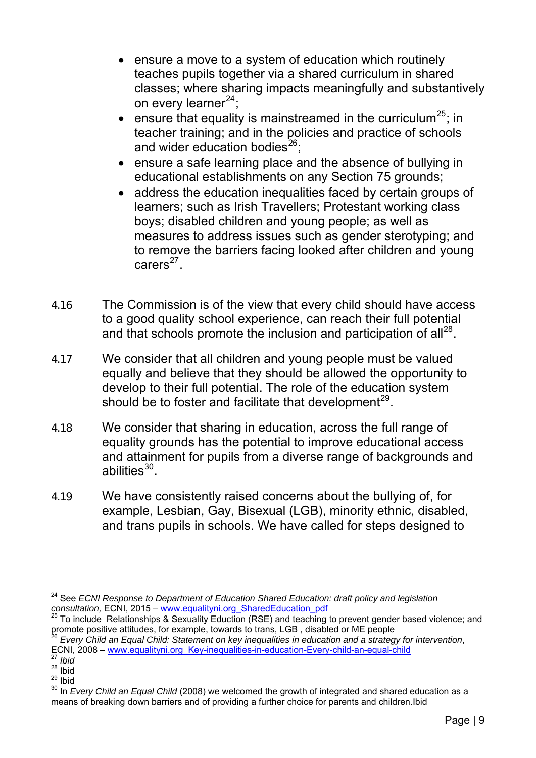- ensure a move to a system of education which routinely teaches pupils together via a shared curriculum in shared classes; where sharing impacts meaningfully and substantively on every learner $^{24}$  $^{24}$  $^{24}$ ;
- ensure that equality is mainstreamed in the curriculum<sup>[25](#page-8-1)</sup>; in teacher training; and in the policies and practice of schools and wider education bodies $^{26}$  $^{26}$  $^{26}$ :
- ensure a safe learning place and the absence of bullying in educational establishments on any Section 75 grounds;
- address the education inequalities faced by certain groups of learners; such as Irish Travellers; Protestant working class boys; disabled children and young people; as well as measures to address issues such as gender sterotyping; and to remove the barriers facing looked after children and young  $c~ers<sup>27</sup>$  $c~ers<sup>27</sup>$  $c~ers<sup>27</sup>$ .
- 4.16 The Commission is of the view that every child should have access to a good quality school experience, can reach their full potential and that schools promote the inclusion and participation of all<sup>[28](#page-8-4)</sup>.
- 4.17 We consider that all children and young people must be valued equally and believe that they should be allowed the opportunity to develop to their full potential. The role of the education system should be to foster and facilitate that development $^{29}$  $^{29}$  $^{29}$ .
- 4.18 We consider that sharing in education, across the full range of equality grounds has the potential to improve educational access and attainment for pupils from a diverse range of backgrounds and abilities<sup>[30](#page-8-6)</sup>
- 4.19 We have consistently raised concerns about the bullying of, for example, Lesbian, Gay, Bisexual (LGB), minority ethnic, disabled, and trans pupils in schools. We have called for steps designed to

 $\overline{a}$ 24 See *ECNI Response to Department of Education Shared Education: draft policy and legislation* 

<span id="page-8-1"></span><span id="page-8-0"></span>*consultation,* ECNI, 2015 – [www.equalityni.org\\_SharedEducation\\_pdf](http://www.equalityni.org/ECNI/media/ECNI/Consultation%20Responses/2015/DENI-SharedEducation_060315.pdf?ext=.pdf)<br><sup>25</sup> To include Relationships & Sexuality Eduction (RSE) and teaching to prevent gender based violence; and<br>promote positive attitudes, for example, towar

<span id="page-8-2"></span><sup>&</sup>lt;sup>26</sup> Every Child an Equal Child: Statement on key inequalities in education and a strategy for intervention, ECNI, 2008 – [www.equalityni.org\\_Key-inequalities-in-education-Every-child-an-equal-child](http://www.equalityni.org/Publications/Delivering-Equality/Key-inequalities-in-education-Every-child-an-equal?ID=1235) <sup>27</sup> *Ibid*

<span id="page-8-4"></span><span id="page-8-3"></span> $28$  lbid

<span id="page-8-5"></span> $29$  Ibid

<span id="page-8-6"></span><sup>30</sup> In *Every Child an Equal Child* (2008) we welcomed the growth of integrated and shared education as a means of breaking down barriers and of providing a further choice for parents and children.Ibid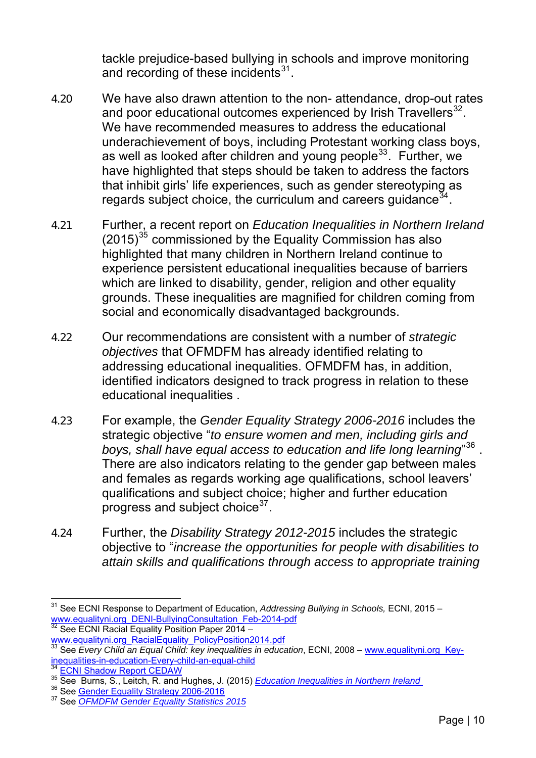tackle prejudice-based bullying in schools and improve monitoring and recording of these incidents $31$ .

- 4.20 We have also drawn attention to the non- attendance, drop-out rates and poor educational outcomes experienced by Irish Travellers $^{32}$  $^{32}$  $^{32}$ . We have recommended measures to address the educational underachievement of boys, including Protestant working class boys, as well as looked after children and young people<sup>[33](#page-9-1)</sup>. Further, we have highlighted that steps should be taken to address the factors that inhibit girls' life experiences, such as gender stereotyping as regards subject choice, the curriculum and careers guidance<sup>[34](#page-9-2)</sup>.
- 4.21 Further, a recent report on *Education Inequalities in Northern Ireland*  $(2015)^{35}$  $(2015)^{35}$  $(2015)^{35}$  commissioned by the Equality Commission has also highlighted that many children in Northern Ireland continue to experience persistent educational inequalities because of barriers which are linked to disability, gender, religion and other equality grounds. These inequalities are magnified for children coming from social and economically disadvantaged backgrounds.
- 4.22 Our recommendations are consistent with a number of *strategic objectives* that OFMDFM has already identified relating to addressing educational inequalities. OFMDFM has, in addition, identified indicators designed to track progress in relation to these educational inequalities .
- 4.23 For example, the *Gender Equality Strategy 2006-2016* includes the strategic objective "*to ensure women and men, including girls and boys, shall have equal access to education and life long learning*" [36](#page-9-4) . There are also indicators relating to the gender gap between males and females as regards working age qualifications, school leavers' qualifications and subject choice; higher and further education progress and subject choice  $37$ .
- 4.24 Further, the *Disability Strategy 2012-2015* includes the strategic objective to "*increase the opportunities for people with disabilities to attain skills and qualifications through access to appropriate training*

<sup>31</sup> See ECNI Response to Department of Education, *Addressing Bullying in Schools,* ECNI, 2015 – [www.equalityni.org\\_DENI-BullyingConsultation\\_Feb-2014-pdf](http://www.equalityni.org/ECNI/media/ECNI/Consultation%20Responses/2015/ECNI-Response-to-DENI-BullyingConsultation_Feb-2014-final.pdf?ext=.pdf) <sup>32</sup> See ECNI Racial Equality Position Paper 2014 –

<span id="page-9-1"></span><span id="page-9-0"></span>[www.equalityni.org\\_RacialEquality\\_PolicyPosition2014.pdf](http://www.equalityni.org/ECNI/media/ECNI/Publications/Delivering%20Equality/RacialEquality_PolicyPosition2014.pdf)<br><sup>[33](http://www.equalityni.org/ECNI/media/ECNI/Publications/Delivering%20Equality/RacialEquality_PolicyPosition2014.pdf)</sup> See *Every Child an Equal Child: key inequalities in education*, ECNI, 2008 – www.equalityni.org\_Key-<br>inequalities-in-education-Every-child-an-equal-child

<span id="page-9-3"></span><span id="page-9-2"></span> $^{34}$  $^{34}$  $^{34}$  [ECNI Shadow Report CEDAW](http://www.google.co.uk/url?sa=t&rct=j&q=&esrc=s&source=web&cd=1&cad=rja&uact=8&ved=0CCAQFjAAahUKEwj9r8Ofi6TIAhXHtxQKHWqjBT0&url=http%3A%2F%2Fwww.equalityni.org%2FECNI%2Fmedia%2FECNI%2FPublications%2FDelivering%2520Equality%2FCEDAW_2013.pdf&usg=AFQjCNGSjN_)<br>  $^{35}$  [See Burns, S., Leitch, R. and H](http://www.google.co.uk/url?sa=t&rct=j&q=&esrc=s&source=web&cd=1&cad=rja&uact=8&ved=0CCAQFjAAahUKEwj9r8Ofi6TIAhXHtxQKHWqjBT0&url=http%3A%2F%2Fwww.equalityni.org%2FECNI%2Fmedia%2FECNI%2FPublications%2FDelivering%2520Equality%2FCEDAW_2013.pdf&usg=AFQjCNGSjN_)ughes, J. (2015) *Education Inequalities in Northern Ireland*<br>  $^{36}$  See *Gender Equality Strategy 2006-2016*<br>
<sup>37</sup> See *OFMDFM Gender Equality Stati* 

<span id="page-9-4"></span>

<span id="page-9-5"></span>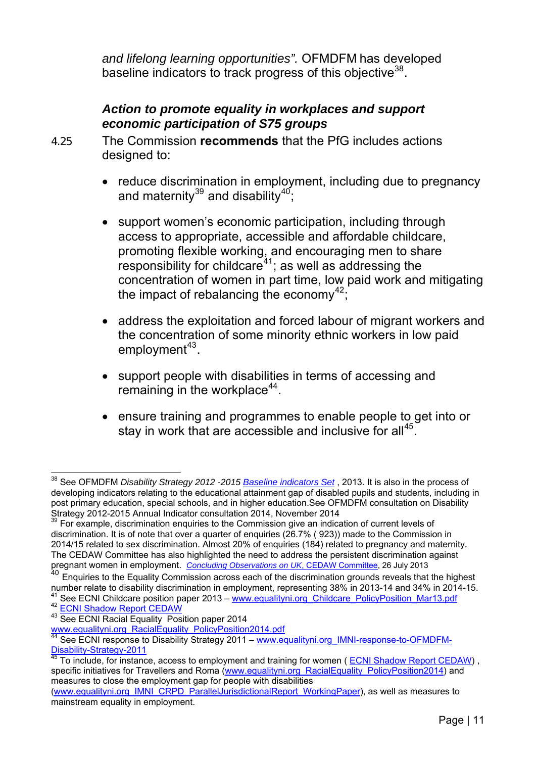*and lifelong learning opportunities".* OFMDFM has developed baseline indicators to track progress of this objective<sup>38</sup>.

### *Action to promote equality in workplaces and support economic participation of S75 groups*

4.25 The Commission **recommends** that the PfG includes actions designed to:

- reduce discrimination in employment, including due to pregnancy and maternity $^{39}$  $^{39}$  $^{39}$  and disability $^{40}$  $^{40}$  $^{40}$ ;
- support women's economic participation, including through access to appropriate, accessible and affordable childcare, promoting flexible working, and encouraging men to share  $responsibility$  for childcare $41$ ; as well as addressing the concentration of women in part time, low paid work and mitigating the impact of rebalancing the economy $42$ ;
- address the exploitation and forced labour of migrant workers and the concentration of some minority ethnic workers in low paid employment $43$ .
- support people with disabilities in terms of accessing and remaining in the workplace $44$ .
- ensure training and programmes to enable people to get into or stay in work that are accessible and inclusive for all<sup>[45](#page-10-6)</sup>.

 $\overline{a}$ 38 See OFMDFM *Disability Strategy 2012 -2015 [Baseline indicators Set](https://www.ofmdfmni.gov.uk/sites/default/files/publications/ofmdfm_dev/baseline-indicators-disability-strategy.pdf)* , 2013. It is also in the process of developing indicators relating to the educational attainment gap of disabled pupils and students, including in post primary education, special schools, and in higher education.See OFMDFM consultation on Disability Strategy 2012-2015 Annual Indicator consultation 2014, November 2014

<span id="page-10-0"></span><sup>&</sup>lt;sup>39</sup> For example, discrimination enquiries to the Commission give an indication of current levels of discrimination. It is of note that over a quarter of enquiries (26.7% ( 923)) made to the Commission in 2014/15 related to sex discrimination. Almost 20% of enquiries (184) related to pregnancy and maternity. The CEDAW Committee has also highlighted the need to address the persistent discrimination against pregnant women in employment. *[Concluding Observations on UK](http://www.edf.org.uk/blog/wp-content/uploads/2013/07/INT_CEDAW_COC_GBR_14761_E.doc)*, CEDAW Committee, 26 July 2013

<span id="page-10-1"></span><sup>40</sup> Enquiries to the Equality Commission across each of the discrimination grounds reveals that the highest number relate to disability discrimination in employment, representing 38% in 2013-14 and 34% in 2014-15. <sup>41</sup> See ECNI Childcare position paper 2013 – [www.equalityni.org\\_Childcare\\_PolicyPosition\\_Mar13.pdf](http://www.equalityni.org/ECNI/media/ECNI/Publications/Delivering%20Equality/Childcare_PolicyPosition_Mar13.pdf?ext=.pdf)  $^{42}$  [ECNI Shadow Report CEDAW](http://www.google.co.uk/url?sa=t&rct=j&q=&esrc=s&source=web&cd=1&cad=rja&uact=8&ved=0CCAQFjAAahUKEwj9r8Ofi6TIAhXHtxQKHWqjBT0&url=http%3A%2F%2Fwww.equalityni.org%2FECNI%2Fmedia%2FECNI%2FPublications%2FDelivering%2520Equality%2FCEDAW_2013.pdf&usg=AFQjCNGSjN_) 43 [See ECNI Racial Equality Pos](http://www.google.co.uk/url?sa=t&rct=j&q=&esrc=s&source=web&cd=1&cad=rja&uact=8&ved=0CCAQFjAAahUKEwj9r8Ofi6TIAhXHtxQKHWqjBT0&url=http%3A%2F%2Fwww.equalityni.org%2FECNI%2Fmedia%2FECNI%2FPublications%2FDelivering%2520Equality%2FCEDAW_2013.pdf&usg=AFQjCNGSjN_)ition paper 2014

<span id="page-10-3"></span><span id="page-10-2"></span>

<span id="page-10-5"></span><span id="page-10-4"></span>[www.equalityni.org\\_RacialEquality\\_PolicyPosition2014.pdf](http://www.equalityni.org/ECNI/media/ECNI/Publications/Delivering%20Equality/RacialEquality_PolicyPosition2014.pdf)<br><sup>44</sup>See ECNI response to Disability Strategy 2011 – <u>www.equalityni.org\_IMNI-response-to-OFMDFM-</u><br>Disability-Strategy-2011

<span id="page-10-6"></span>To include, for instance, access to employment and training for women ( [ECNI Shadow Report CEDAW](http://www.google.co.uk/url?sa=t&rct=j&q=&esrc=s&source=web&cd=1&cad=rja&uact=8&ved=0CCAQFjAAahUKEwj9r8Ofi6TIAhXHtxQKHWqjBT0&url=http%3A%2F%2Fwww.equalityni.org%2FECNI%2Fmedia%2FECNI%2FPublications%2FDelivering%2520Equality%2FCEDAW_2013.pdf&usg=AFQjCNGSjN_)), specific initiatives for Travellers and Roma ([www.equalityni.org\\_RacialEquality\\_PolicyPosition2014\)](http://www.equalityni.org/ECNI/media/ECNI/Publications/Delivering%20Equality/RacialEquality_PolicyPosition2014.pdf?ext=.pdf) and measures to close the employment gap for people with disabilities

[<sup>\(</sup>www.equalityni.org\\_IMNI\\_CRPD\\_ParallelJurisdictionalReport\\_WorkingPaper](http://www.equalityni.org/ECNI/media/ECNI/Publications/Delivering%20Equality/IMNI_CRPD_ParallelJurisdictionalReport_WorkingPaper_v1_080714.pdf?ext=.pdf)), as well as measures to mainstream equality in employment.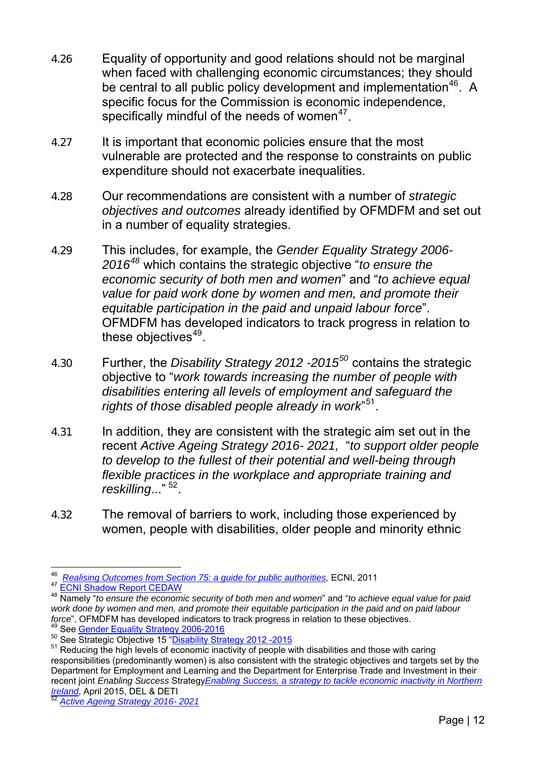- 4.26 Equality of opportunity and good relations should not be marginal when faced with challenging economic circumstances; they should be central to all public policy development and implementation<sup>[46](#page-11-0)</sup>. A specific focus for the Commission is economic independence, specifically mindful of the needs of women $47$ .
- 4.27 It is important that economic policies ensure that the most vulnerable are protected and the response to constraints on public expenditure should not exacerbate inequalities.
- 4.28 Our recommendations are consistent with a number of *strategic objectives and outcomes* already identified by OFMDFM and set out in a number of equality strategies.
- 4.29 This includes, for example, the *Gender Equality Strategy 2006- 2016[48](#page-11-2)* which contains the strategic objective "*to ensure the economic security of both men and women*" and "*to achieve equal value for paid work done by women and men, and promote their equitable participation in the paid and unpaid labour force*". OFMDFM has developed indicators to track progress in relation to these objectives $49$ .
- 4.30 Further, the *Disability Strategy 2012 -2015[50](#page-11-4)* contains the strategic objective to "*work towards increasing the number of people with disabilities entering all levels of employment and safeguard the rights of those disabled people already in work*" [51](#page-11-5).
- 4.31 In addition, they are consistent with the strategic aim set out in the recent *Active Ageing Strategy 2016- 2021,* "*to support older people to develop to the fullest of their potential and well-being through flexible practices in the workplace and appropriate training and reskilling*..." [52](#page-11-6).
- 4.32 The removal of barriers to work, including those experienced by women, people with disabilities, older people and minority ethnic

 $\overline{a}$ 46 *[Realising Outcomes from Section 75: a guide for public authorities](http://www.equalityni.org_realisingoutcomes_s75advicetopas2011.pdf/),* ECNI, 2011

<span id="page-11-2"></span><span id="page-11-1"></span><span id="page-11-0"></span><sup>47</sup> [ECNI Shadow Report CEDAW](http://www.google.co.uk/url?sa=t&rct=j&q=&esrc=s&source=web&cd=1&cad=rja&uact=8&ved=0CCAQFjAAahUKEwj9r8Ofi6TIAhXHtxQKHWqjBT0&url=http%3A%2F%2Fwww.equalityni.org%2FECNI%2Fmedia%2FECNI%2FPublications%2FDelivering%2520Equality%2FCEDAW_2013.pdf&usg=AFQjCNGSjN_) 48 [Namely "](http://www.google.co.uk/url?sa=t&rct=j&q=&esrc=s&source=web&cd=1&cad=rja&uact=8&ved=0CCAQFjAAahUKEwj9r8Ofi6TIAhXHtxQKHWqjBT0&url=http%3A%2F%2Fwww.equalityni.org%2FECNI%2Fmedia%2FECNI%2FPublications%2FDelivering%2520Equality%2FCEDAW_2013.pdf&usg=AFQjCNGSjN_)*to ensure the economic security of both men and women*" and "*to achieve equal value for paid work done by women and men, and promote their equitable participation in the paid and on paid labour*  force". [OFMDFM has developed indicators to](http://www.ofmdfmni.gov.uk/gender-equality-strategy-2006-2016-2nd-edition-large-print.pdf) track progress in relation to these objectives.<br><sup>49</sup> See <u>Gender Equality Strategy 2006-2016</u><br><sup>50</sup> See Strategic Objective 15 "<u>Disability Strategy 2012 -2015</u><br><sup>51</sup> Reducing the h

<span id="page-11-3"></span>

<span id="page-11-5"></span><span id="page-11-4"></span>responsibilities (predominantly women) is also consistent with the strategic objectives and targets set by the Department for Employment and Learning and the Department for Enterprise Trade and Investment in their recent joint *Enabling Success* Strategy*[Enabling Success, a strategy to tackle economic inactivity in Northern](https://www.detini.gov.uk/sites/default/files/publications/deti/enabling-success.pdf)  Ireland*, April 2015, DEL & DETI [52](https://www.detini.gov.uk/sites/default/files/publications/deti/enabling-success.pdf) *[Active Ageing Strategy 2016- 2021](https://www.ofmdfmni.gov.uk/sites/default/files/publications/ofmdfm/active-ageing-strategy.pdf)*

<span id="page-11-6"></span>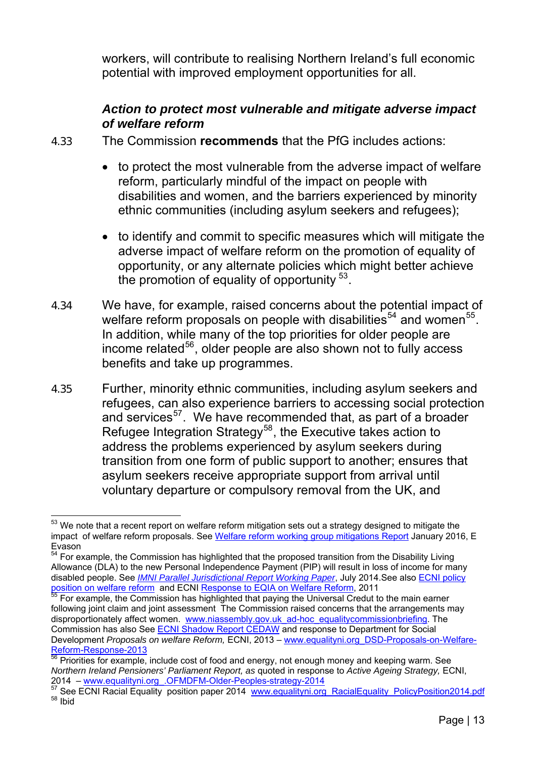workers, will contribute to realising Northern Ireland's full economic potential with improved employment opportunities for all.

### *Action to protect most vulnerable and mitigate adverse impact of welfare reform*

4.33 The Commission **recommends** that the PfG includes actions:

- to protect the most vulnerable from the adverse impact of welfare reform, particularly mindful of the impact on people with disabilities and women, and the barriers experienced by minority ethnic communities (including asylum seekers and refugees);
- to identify and commit to specific measures which will mitigate the adverse impact of welfare reform on the promotion of equality of opportunity, or any alternate policies which might better achieve the promotion of equality of opportunity  $53$ .
- 4.34 We have, for example, raised concerns about the potential impact of welfare reform proposals on people with disabilities<sup>[54](#page-12-1)</sup> and women<sup>[55](#page-12-2)</sup>. In addition, while many of the top priorities for older people are income related<sup>[56](#page-12-3)</sup>, older people are also shown not to fully access benefits and take up programmes.
- 4.35 Further, minority ethnic communities, including asylum seekers and refugees, can also experience barriers to accessing social protection and services<sup>[57](#page-12-4)</sup>. We have recommended that, as part of a broader Refugee Integration Strategy<sup>[58](#page-12-5)</sup>, the Executive takes action to address the problems experienced by asylum seekers during transition from one form of public support to another; ensures that asylum seekers receive appropriate support from arrival until voluntary departure or compulsory removal from the UK, and

<span id="page-12-0"></span> $\overline{a}$  $^{\rm 53}$  We note that a recent report on welfare reform mitigation sets out a strategy designed to mitigate the impact of welfare reform proposals. See [Welfare reform working group mitigations Report](https://www.ofmdfmni.gov.uk/sites/default/files/publications/ofmdfm/welfare-reform-mitigations-working-group-report.pdf) January 2016, E Evason

<span id="page-12-1"></span> $\frac{54}{64}$  For example, the Commission has highlighted that the proposed transition from the Disability Living Allowance (DLA) to the new Personal Independence Payment (PIP) will result in loss of income for many disabled people. See *[IMNI Parallel Jurisdictional Report Working Paper](http://www.google.co.uk/url?sa=t&rct=j&q=&esrc=s&source=web&cd=3&cad=rja&uact=8&ved=0ahUKEwjYmpT2hrbKAhUGuRQKHSRhCT4QFgguMAI&url=http%3A%2F%2Fwww.equalityni.org%2FECNI%2Fmedia%2FECNI%2FPublications%2FDelivering%2520Equality%2FIMNI_CRPD_ParallelJurisdiction)*, July 2014.See also [ECNI policy](http://www.google.co.uk/url?sa=t&rct=j&q=&esrc=s&source=web&cd=1&cad=rja&uact=8&ved=0CCEQFjAA&url=http%3A%2F%2Fwww.equalityni.org%2FDelivering-Equality%2FAddressing-inequality%2FWelfare-Reform%2FPolicy-responses%2FPolicy-position-on-Welfare-Reform&ei=THQJV)  [position on welfare reform](http://www.google.co.uk/url?sa=t&rct=j&q=&esrc=s&source=web&cd=1&cad=rja&uact=8&ved=0CCEQFjAA&url=http%3A%2F%2Fwww.equalityni.org%2FDelivering-Equality%2FAddressing-inequality%2FWelfare-Reform%2FPolicy-responses%2FPolicy-position-on-Welfare-Reform&ei=THQJV) and ECNI [Response to EQIA on Welfare Reform](http://www.equalityni.org/ECNI/media/ECNI/Consultation%20Responses/2011/DSD-Welfare_Reform_Bill-EQIA.pdf?ext=.pdf), 2011

<span id="page-12-2"></span> $55$  For example, the Commission has highlighted that paying the Universal Credut to the main earner following joint claim and joint assessment The Commission raised concerns that the arrangements may disproportionately affect women. [www.niassembly.gov.uk\\_ad-hoc\\_equalitycommissionbriefing.](http://www.niassembly.gov.uk/globalassets/documents/official-reports/ad-hoc/ad-hoc-2012-13/121203_equalitycommissionbriefing.pdf) The Commission has also See [ECNI Shadow Report CEDAW](http://www.google.co.uk/url?sa=t&rct=j&q=&esrc=s&source=web&cd=1&cad=rja&uact=8&ved=0CCAQFjAAahUKEwj9r8Ofi6TIAhXHtxQKHWqjBT0&url=http%3A%2F%2Fwww.equalityni.org%2FECNI%2Fmedia%2FECNI%2FPublications%2FDelivering%2520Equality%2FCEDAW_2013.pdf&usg=AFQjCNGSjN_) and response to Department for Social Development *Proposals on welfare Reform,* ECNI, 2013 – [www.equalityni.org\\_DSD-Proposals-on-Welfare-](http://www.equalityni.org/ECNI/media/ECNI/News%20and%20Press/Press%20Releases/2013/DSD-Proposals-on-Welfare-Reform-Response-13-05-13.pdf)[Reform-Response-2013](http://www.equalityni.org/ECNI/media/ECNI/News%20and%20Press/Press%20Releases/2013/DSD-Proposals-on-Welfare-Reform-Response-13-05-13.pdf)

Priorities for example, include cost of food and energy, not enough money and keeping warm. See *Northern Ireland Pensioners' Parliament Report, as* quoted in response to *Active Ageing Strategy,* ECNI,

<span id="page-12-5"></span><span id="page-12-4"></span><span id="page-12-3"></span><sup>2014 –</sup> [www.equalityni.org\\_.OFMDFM-Older-Peoples-strategy-2014](http://www.equalityni.org/Delivering-Equality/Consultancy-responses/Consultation-Response-Files/2014/OFMDFM-Older-People-s-strategy-2014) 37 See ECNI Racial Equality position paper 2014 [www.equalityni.org\\_RacialEquality\\_PolicyPosition2014.pdf](http://www.equalityni.org/ECNI/media/ECNI/Publications/Delivering%20Equality/RacialEquality_PolicyPosition2014.pdf?ext=.pdf) <sup>57</sup> See ECNI Racial Equality\_position2014.pdf <sup>58</sup> Ibi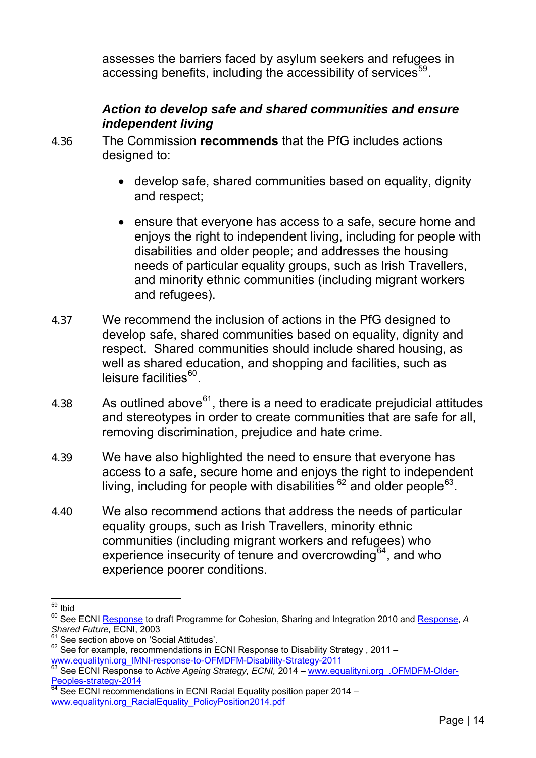assesses the barriers faced by asylum seekers and refugees in accessing benefits, including the accessibility of services $59$ .

### *Action to develop safe and shared communities and ensure independent living*

- 4.36 The Commission **recommends** that the PfG includes actions designed to:
	- develop safe, shared communities based on equality, dignity and respect;
	- ensure that everyone has access to a safe, secure home and enjoys the right to independent living, including for people with disabilities and older people; and addresses the housing needs of particular equality groups, such as Irish Travellers, and minority ethnic communities (including migrant workers and refugees).
- 4.37 We recommend the inclusion of actions in the PfG designed to develop safe, shared communities based on equality, dignity and respect. Shared communities should include shared housing, as well as shared education, and shopping and facilities, such as leisure facilities<sup>[60](#page-13-0)</sup>.
- 4.38 As outlined above $^{61}$  $^{61}$  $^{61}$ , there is a need to eradicate prejudicial attitudes and stereotypes in order to create communities that are safe for all, removing discrimination, prejudice and hate crime.
- 4.39 We have also highlighted the need to ensure that everyone has access to a safe, secure home and enjoys the right to independent living, including for people with disabilities  $62$  and older people  $63$ .
- 4.40 We also recommend actions that address the needs of particular equality groups, such as Irish Travellers, minority ethnic communities (including migrant workers and refugees) who experience insecurity of tenure and overcrowding  $64$ , and who experience poorer conditions.

 $\overline{a}$ <sup>59</sup> Ibid

<span id="page-13-0"></span><sup>60</sup> See ECNI [Response](http://www.equalityni.org/ECNI/media/ECNI/Consultation%20Responses/2010/Cohesion_Sharing_Integration-Draft_Programme.pdf?ext=.pdf) to draft Programme for Cohesion, Sharing and Integration 2010 and [Response](http://www.equalityni.org_shared-future-consultation-response/), *A Shared Future,* ECNI, 2003

<sup>&</sup>lt;sup>61</sup> See section above on 'Social Attitudes'.

<span id="page-13-2"></span><span id="page-13-1"></span><sup>62</sup> See Section above on Section minimum . [www.equalityni.org\\_IMNI-response-to-OFMDFM-Disability-Strategy-2011](http://www.equalityni.org/Delivering-Equality/Consultancy-responses/Consultation-Response-Files/2012/IMNI-response-to-OFMDFM-Disability-Strategy-2011)

<span id="page-13-3"></span><sup>&</sup>lt;sup>63</sup> See ECNI Response to A*ctive Ageing Strategy, ECNI,* 2014 – www.equalityni.org .OFMDFM-Older-[Peoples-strategy-2014](http://www.equalityni.org/Delivering-Equality/Consultancy-responses/Consultation-Response-Files/2014/OFMDFM-Older-People-s-strategy-2014)

<span id="page-13-4"></span> $64$  See ECNI recommendations in ECNI Racial Equality position paper 2014 – [www.equalityni.org\\_RacialEquality\\_PolicyPosition2014.pdf](http://www.equalityni.org/ECNI/media/ECNI/Publications/Delivering%20Equality/RacialEquality_PolicyPosition2014.pdf)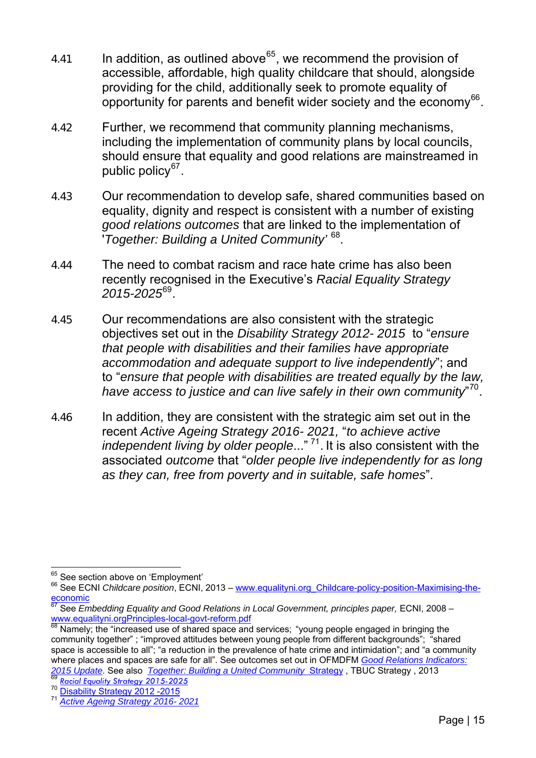- 4.41 In addition, as outlined above  $65$ , we recommend the provision of accessible, affordable, high quality childcare that should, alongside providing for the child, additionally seek to promote equality of opportunity for parents and benefit wider society and the economy<sup>[66](#page-14-1)</sup>.
- 4.42 Further, we recommend that community planning mechanisms, including the implementation of community plans by local councils, should ensure that equality and good relations are mainstreamed in public policy $67$ .
- 4.43 Our recommendation to develop safe, shared communities based on equality, dignity and respect is consistent with a number of existing *good relations outcomes* that are linked to the implementation of '*Together: Building a United Community'* [68](#page-14-3)*.*
- 4.44 The need to combat racism and race hate crime has also been recently recognised in the Executive's *Racial Equality Strategy 2015-2025*[69](#page-14-4).
- 4.45 Our recommendations are also consistent with the strategic objectives set out in the *Disability Strategy 2012- 2015* to "*ensure that people with disabilities and their families have appropriate accommodation and adequate support to live independently*"; and to "*ensure that people with disabilities are treated equally by the law, have access to justice and can live safely in their own community*" [70](#page-14-5).
- 4.46 In addition, they are consistent with the strategic aim set out in the recent *Active Ageing Strategy 2016- 2021,* "*to achieve active independent living by older people*..." [71](#page-14-6). It is also consistent with the associated *outcome* that "*older people live independently for as long as they can, free from poverty and in suitable, safe homes*".

<span id="page-14-5"></span><span id="page-14-4"></span>

<span id="page-14-0"></span><sup>65</sup> See section above on 'Employment'

<span id="page-14-1"></span><sup>&</sup>lt;sup>66</sup> See ECNI *Childcare position*, ECNI, 2013 – [www.equalityni.org\\_Childcare-policy-position-Maximising-the](http://www.equalityni.org/Publications/Delivering-Equality/Childcare-policy-position-Maximising-the-economic?ID=4266)[economic](http://www.equalityni.org/Publications/Delivering-Equality/Childcare-policy-position-Maximising-the-economic?ID=4266)

<span id="page-14-2"></span><sup>67</sup> See *Embedding Equality and Good Relations in Local Government, principles paper,* ECNI, 2008 – [www.equalityni.orgPrinciples-local-govt-reform.pdf](http://www.equalityni.org/ECNI/media/ECNI/Publications/Delivering%20Equality/Principles-goodrelations-local-govt-reform.pdf?ext=.pdf)<br><sup>68</sup> Namely; the "increased use of shared space and services; "young people engaged in bringing the

<span id="page-14-3"></span>community together" ; "improved attitudes between young people from different backgrounds"; "shared space is accessible to all"; "a reduction in the prevalence of hate crime and intimidation"; and "a community where places and spaces are safe for all". See outcomes set out in OFMDFM *[Good Relations Indicators:](https://www.ofmdfmni.gov.uk/sites/default/files/publications/ofmdfm/good-relations-indicators-2015-report.pdf)*  2015 Update. See also Together: Building a United Community [Strategy](https://www.google.co.uk/url?sa=t&rct=j&q=&esrc=s&source=web&cd=1&cad=rja&uact=8&ved=0ahUKEwivk96ltbvKAhWEbiYKHck7ABwQFggcMAA&url=https%3A%2F%2Fwww.ofmdfmni.gov.uk%2Farticles%2Ftogether-building-united-community&usg=AFQjCNEZ6cMQxjl_dEt70fn-qDTp1PO8WA&bvm=b), TBUC Strategy, 2013<br>
<sup>[69](https://www.ofmdfmni.gov.uk/sites/default/files/publications/ofmdfm/good-relations-indicators-2015-report.pdf)</sup> Rocial Equality Strategy 2015-2025<br>
<sup>70</sup> [Disability Strategy 2012 -2015](https://www.ofmdfmni.gov.uk/sites/default/files/publications/ofmdfm_dev/disability-strategy-2012-2015.pdf)<br>
<sup>71</sup> Active Ageing Strategy 2016-2021

<span id="page-14-6"></span>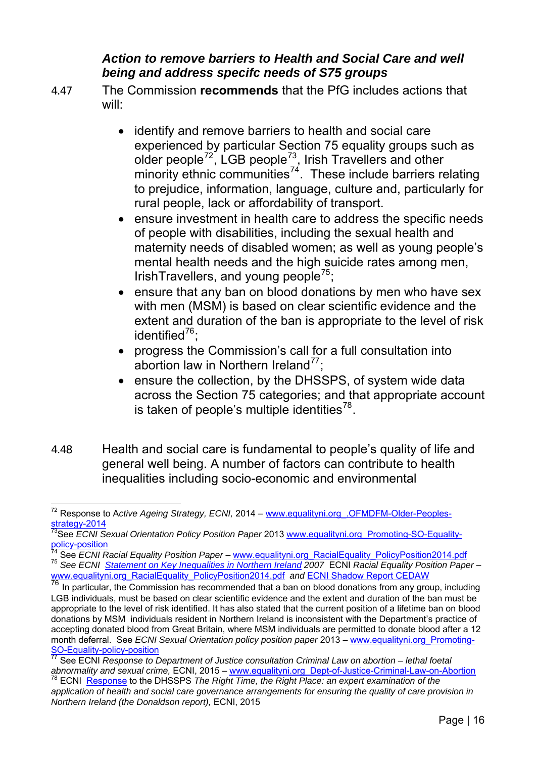### *Action to remove barriers to Health and Social Care and well being and address specifc needs of S75 groups*

4.47 The Commission **recommends** that the PfG includes actions that will:

- identify and remove barriers to health and social care experienced by particular Section 75 equality groups such as older people<sup>[72](#page-15-0)</sup>, LGB people<sup>[73](#page-15-1)</sup>, Irish Travellers and other minority ethnic communities<sup>[74](#page-15-2)</sup>. These include barriers relating to prejudice, information, language, culture and, particularly for rural people, lack or affordability of transport.
- ensure investment in health care to address the specific needs of people with disabilities, including the sexual health and maternity needs of disabled women; as well as young people's mental health needs and the high suicide rates among men, IrishTravellers, and young people<sup>[75](#page-15-3)</sup>;
- ensure that any ban on blood donations by men who have sex with men (MSM) is based on clear scientific evidence and the extent and duration of the ban is appropriate to the level of risk identified $^{76}$  $^{76}$  $^{76}$ :
- progress the Commission's call for a full consultation into abortion law in Northern Ireland $^{77}$  $^{77}$  $^{77}$ ;
- ensure the collection, by the DHSSPS, of system wide data across the Section 75 categories; and that appropriate account is taken of people's multiple identities<sup>[78](#page-15-6)</sup>.
- 4.48 Health and social care is fundamental to people's quality of life and general well being. A number of factors can contribute to health inequalities including socio-economic and environmental

<span id="page-15-0"></span> $\overline{a}$ <sup>72</sup> Response to Active Ageing Strategy, ECNI, 2014 – www.equalityni.org .OFMDFM-Older-Peoples[strategy-2014](http://www.equalityni.org/Delivering-Equality/Consultancy-responses/Consultation-Response-Files/2014/OFMDFM-Older-People-s-strategy-2014)

<span id="page-15-1"></span><sup>&</sup>lt;sup>73</sup>See *ECNI* Sexual Orientation Policy Position Paper 2013 [www.equalityni.org\\_Promoting-SO-Equality](http://www.equalityni.org/Publications/Delivering-Equality/Promoting-SO-Equality-policy-position?ID=2997)[policy-position](http://www.equalityni.org/Publications/Delivering-Equality/Promoting-SO-Equality-policy-position?ID=2997)<br><sup>74</sup> See *ECNI Racial Equality Position Paper – www.*equalityni.org\_RacialEquality\_PolicyPosition2014.pdf

<span id="page-15-3"></span><span id="page-15-2"></span>The See ECNI [Statement on Key Inequalities in Northern Ireland](http://www.equalityni.org/ECNI/media/ECNI/Publications/Employers%20and%20Service%20Providers/S75%20P10%20investigation%20reports/KeyinequalitiesinNI2007.pdf?ext=.pdf) 2007 ECNI Racial Equality Position Paper –<br>www.equalityni.org RacialEquality PolicyPosition2014.pdf and ECNI Shadow Report CEDAW

<span id="page-15-4"></span>To In particular, the Commission has recommended that a ban on blood donations from any group, including LGB individuals, must be based on clear scientific evidence and the extent and duration of the ban must be appropriate to the level of risk identified. It has also stated that the current position of a lifetime ban on blood donations by MSM individuals resident in Northern Ireland is inconsistent with the Department's practice of accepting donated blood from Great Britain, where MSM individuals are permitted to donate blood after a 12 month deferral. See *ECNI Sexual Orientation policy position paper* 2013 – [www.equalityni.org\\_Promoting-](http://www.equalityni.org/Publications/Delivering-Equality/Promoting-SO-Equality-policy-position?ID=2997)[SO-Equality-policy-position](http://www.equalityni.org/Publications/Delivering-Equality/Promoting-SO-Equality-policy-position?ID=2997)

<span id="page-15-5"></span><sup>77</sup> See ECNI *Response to Department of Justice consultation Criminal Law on abortion – lethal foetal* 

<span id="page-15-6"></span><sup>&</sup>lt;sup>78</sup> ECNI, [Response](http://www.google.co.uk/url?sa=t&rct=j&q=&esrc=s&source=web&cd=1&cad=rja&uact=8&ved=0ahUKEwjBq_eZ2b3KAhVJyRQKHRDiBmsQFggcMAA&url=http%3A%2F%2Fwww.equalityni.org%2FECNI%2Fmedia%2FECNI%2FConsultation%2520Responses%2F2015%2FDHSSPS-Health-SocialCareGovernance.) to the DHSSPS The Right Time, the Right Place: an expert examination of the *application of health and social care governance arrangements for ensuring the quality of care provision in Northern Ireland (the Donaldson report),* ECNI, 2015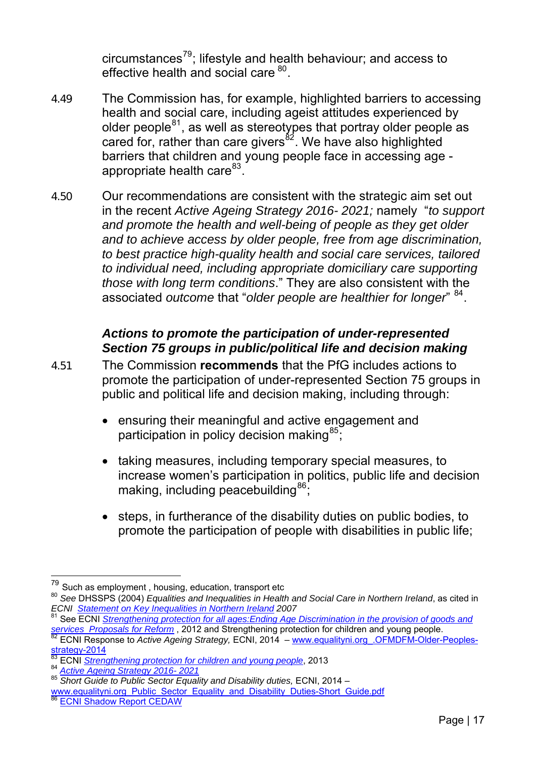circumstances $^{79}$ ; lifestyle and health behaviour; and access to effective health and social care  $^{80}$ .

- 4.49 The Commission has, for example, highlighted barriers to accessing health and social care, including ageist attitudes experienced by older people $81$ , as well as stereotypes that portray older people as cared for, rather than care givers<sup>[82](#page-16-1)</sup>. We have also highlighted barriers that children and young people face in accessing age - appropriate health care<sup>[83](#page-16-2)</sup>.
- 4.50 Our recommendations are consistent with the strategic aim set out in the recent *Active Ageing Strategy 2016- 2021;* namely "*to support and promote the health and well-being of people as they get older and to achieve access by older people, free from age discrimination, to best practice high-quality health and social care services, tailored to individual need, including appropriate domiciliary care supporting those with long term conditions*." They are also consistent with the associated *outcome* that "*older people are healthier for longer*" [84](#page-16-3).

### *Actions to promote the participation of under-represented Section 75 groups in public/political life and decision making*

- 4.51 The Commission **recommends** that the PfG includes actions to promote the participation of under-represented Section 75 groups in public and political life and decision making, including through:
	- ensuring their meaningful and active engagement and participation in policy decision making $^{85}$  $^{85}$  $^{85}$ ;
	- taking measures, including temporary special measures, to increase women's participation in politics, public life and decision making, including peacebuilding  $86$ .
	- steps, in furtherance of the disability duties on public bodies, to promote the participation of people with disabilities in public life;

 $^{79}$  Such as employment , housing, education, transport etc

<sup>80</sup> *See* DHSSPS (2004) *Equalities and Inequalities in Health and Social Care in Northern Ireland*, as cited in *ECNI [Statement on Key Inequalities in Northern Ireland](http://www.equalityni.org/ECNI/media/ECNI/Publications/Employers%20and%20Service%20Providers/S75%20P10%20investigation%20reports/KeyinequalitiesinNI2007.pdf?ext=.pdf) 2007*

<span id="page-16-0"></span><sup>81</sup> See ECNI *[Strengthening protection for all ages:Ending Age Discrimination in the provision of goods and](http://www.google.co.uk/url?sa=t&rct=j&q=&esrc=s&source=web&cd=6&cad=rja&uact=8&ved=0ahUKEwjD5biSmM_KAhVFXhoKHfnqC5UQFgg7MAU&url=http%3A%2F%2Fwww.equalityni.org%2FECNI%2Fmedia%2FECNI%2FAddressing%2520inequalities%2520Policy%2FStrengtheningProtectionAllAges) services Proposals for Reform, 2012 and Strengthening protection for children and young people.* 

<span id="page-16-1"></span><sup>&</sup>lt;sup>82</sup> ECNI Response to *Active Ageing Strategy,* ECNI, 2014 – [www.equalityni.org\\_.OFMDFM-Older-Peoples](http://www.equalityni.org/Delivering-Equality/Consultancy-responses/Consultation-Response-Files/2014/OFMDFM-Older-People-s-strategy-2014)[strategy-2014](http://www.equalityni.org/Delivering-Equality/Consultancy-responses/Consultation-Response-Files/2014/OFMDFM-Older-People-s-strategy-2014)

<span id="page-16-2"></span><sup>&</sup>lt;sup>83</sup> ECNI *[Strengthening protection for children and young people](http://www.equalityni.org/ECNI/media/ECNI/Publications/Delivering%20Equality/AgeGFSlawproposalsfullreport2013.pdf)*, 2013<br><sup>84</sup> Active Ageing Strategy 2016-2021

<span id="page-16-4"></span><span id="page-16-3"></span><sup>84</sup> *Active Ageing Strategy 2016- 2021* 85 *Short Guide to Public Sector Equality and Disability duties,* ECNI, 2014 –

[www.equalityni.org\\_Public\\_Sector\\_Equality\\_and\\_Disability\\_Duties-Short\\_Guide.pdf](http://www.equalityni.org/ECNI/media/ECNI/Publications/Employers%20and%20Service%20Providers/Public%20Authorities/Public_Sector_Equality_and_Disability_Duties-Short_Guide.pdf) 86 [ECNI Shadow Report CEDAW](http://www.google.co.uk/url?sa=t&rct=j&q=&esrc=s&source=web&cd=1&cad=rja&uact=8&ved=0CCAQFjAAahUKEwj9r8Ofi6TIAhXHtxQKHWqjBT0&url=http%3A%2F%2Fwww.equalityni.org%2FECNI%2Fmedia%2FECNI%2FPublications%2FDelivering%2520Equality%2FCEDAW_2013.pdf&usg=AFQjCNGSjN_)

<span id="page-16-5"></span>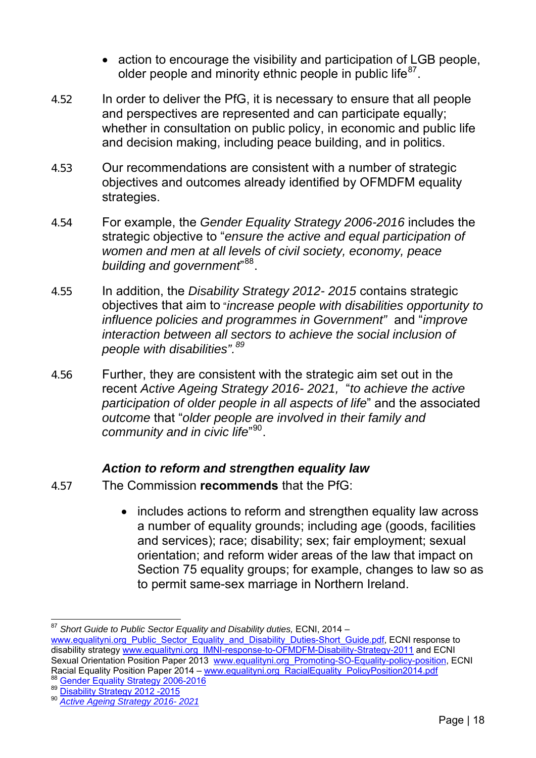- action to encourage the visibility and participation of LGB people. older people and minority ethnic people in public life<sup>[87](#page-17-0)</sup>.
- 4.52 In order to deliver the PfG, it is necessary to ensure that all people and perspectives are represented and can participate equally; whether in consultation on public policy, in economic and public life and decision making, including peace building, and in politics.
- 4.53 Our recommendations are consistent with a number of strategic objectives and outcomes already identified by OFMDFM equality strategies.
- 4.54 For example, the *Gender Equality Strategy 2006-2016* includes the strategic objective to "*ensure the active and equal participation of women and men at all levels of civil society, economy, peace building and government*" [88](#page-17-1).
- 4.55 In addition, the *Disability Strategy 2012- 2015* contains strategic objectives that aim to "*increase people with disabilities opportunity to influence policies and programmes in Government"* and "*improve interaction between all se[c](#page-17-2)tors to achieve the social inclusion of people with disabilities".[89](#page-17-2)*
- 4.56 Further, they are consistent with the strategic aim set out in the recent *Active Ageing Strategy 2016- 2021,* "*to achieve the active participation of older people in all aspects of life*" and the associated *outcome* that "*older people are involved in their family and community and in civic life*" [90](#page-17-3).

## *Action to reform and strengthen equality law*

- 4.57 The Commission **recommends** that the PfG:
	- includes actions to reform and strengthen equality law across a number of equality grounds; including age (goods, facilities and services); race; disability; sex; fair employment; sexual orientation; and reform wider areas of the law that impact on Section 75 equality groups; for example, changes to law so as to permit same-sex marriage in Northern Ireland.

 $\overline{a}$ <sup>87</sup> Short Guide to Public Sector Equality and Disability duties, ECNI, 2014 –

<span id="page-17-0"></span>[www.equalityni.org\\_Public\\_Sector\\_Equality\\_and\\_Disability\\_Duties-Short\\_Guide.pdf,](http://www.equalityni.org/ECNI/media/ECNI/Publications/Employers%20and%20Service%20Providers/Public%20Authorities/Public_Sector_Equality_and_Disability_Duties-Short_Guide.pdf) ECNI response to disability strategy [www.equalityni.org\\_IMNI-response-to-OFMDFM-Disability-Strategy-2011](http://www.equalityni.org/Delivering-Equality/Consultancy-responses/Consultation-Response-Files/2012/IMNI-response-to-OFMDFM-Disability-Strategy-2011) and ECNI Sexual Orientation Position Paper 2013 www.equalityni.org Promoting-SO-Equality-policy-position, ECNI Racial Equality Position Paper 2014 – [www.equalityni.org\\_RacialEquality\\_PolicyPosition2014.pdf](http://www.equalityni.org/ECNI/media/ECNI/Publications/Delivering%20Equality/RacialEquality_PolicyPosition2014.pdf?ext=.pdf) <sup>88</sup> [Gender Equality Strategy 2006-2016](http://www.ofmdfmni.gov.uk/gender-equality-strategy-2006-2016-2nd-edition-large-print.pdf) <sup>89</sup> [Disability Strategy 2012 -2015](https://www.ofmdfmni.gov.uk/sites/default/files/publications/ofmdfm_dev/disability-strategy-2012-2015.pdf) 90 *[Active Ageing Strategy 2016- 2021](https://www.ofmdfmni.gov.uk/sites/default/files/publications/ofmdfm/active-ageing-strategy.pdf)*

<span id="page-17-1"></span>

<span id="page-17-2"></span>

<span id="page-17-3"></span>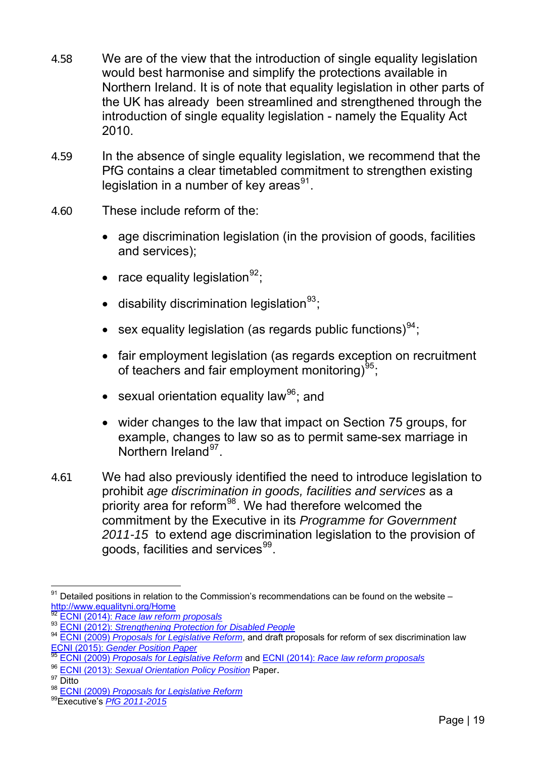- 4.58 We are of the view that the introduction of single equality legislation would best harmonise and simplify the protections available in Northern Ireland. It is of note that equality legislation in other parts of the UK has already been streamlined and strengthened through the introduction of single equality legislation - namely the Equality Act 2010.
- 4.59 In the absence of single equality legislation, we recommend that the PfG contains a clear timetabled commitment to strengthen existing legislation in a number of key areas $91$ .
- 4.60 These include reform of the:
	- age discrimination legislation (in the provision of goods, facilities and services);
	- race equality legislation  $92$ ;
	- disability discrimination legislation $93$ ;
	- sex equality legislation (as regards public functions) $^{94}$  $^{94}$  $^{94}$ :
	- fair employment legislation (as regards exception on recruitment of teachers and fair employment monitoring) $^{95}$  $^{95}$  $^{95}$ ;
	- sexual orientation equality law $96$ ; and
	- wider changes to the law that impact on Section 75 groups, for example, changes to law so as to permit same-sex marriage in Northern Ireland<sup>[97](#page-18-6)</sup>.
- 4.61 We had also previously identified the need to introduce legislation to prohibit *age discrimination in goods, facilities and services* as a priority area for reform<sup>[98](#page-18-7)</sup>. We had therefore welcomed the commitment by the Executive in its *Programme for Government 2011-15* to extend age discrimination legislation to the provision of goods, facilities and services<sup>[99](#page-18-8)</sup>.

 $\overline{a}$  $^{91}$  Detailed positions in relation to the Commission's recommendations can be found on the website –

<span id="page-18-3"></span><span id="page-18-2"></span>

<span id="page-18-1"></span><span id="page-18-0"></span><http://www.equalityni.org/Home><br><sup>[92](http://www.equalityni.org/Home)</sup> ECNI (2014): *[Race law reform proposals](http://www.equalityni.org/ECNI/media/ECNI/Publications/Delivering%20Equality/RaceLawReform-FullReport.pdf)*<br><sup>93</sup> ECNI (2012): *Strengthening Protection for Disabled People*<br><sup>94</sup> ECNI (2009) *Proposals for Legislative Reform*, and draft proposals for ref

ECNI (2015): *[Gender Position Paper](http://www.equalityni.org/ECNI/media/ECNI/Publications/Delivering%20Equality/GenderEquality_Policypriorities.pdf)* <sup>95</sup> ECNI (2009) *[Proposals for Legislative Reform](http://www.equalityni.org/ECNI/media/ECNI/Publications/Delivering%20Equality/Proposals_for_legislative_reform060209.pdf?ext=.pdf)* and ECNI (2014): *[Race law reform proposals](http://www.equalityni.org/ECNI/media/ECNI/Publications/Delivering%20Equality/RaceLawReform-FullReport.pdf)*

<span id="page-18-5"></span><span id="page-18-4"></span><sup>96</sup>ECNI (2013): Sexual Orientation Policy Position Paper.<br><sup>97</sup> Ditto

<span id="page-18-7"></span><span id="page-18-6"></span><sup>98</sup> ECNI (2009) *Proposals for Legislative Reform*<br><sup>99</sup> Executive's *[PfG 2011-2015](http://www.google.co.uk/url?sa=t&rct=j&q=&esrc=s&source=web&cd=2&cad=rja&uact=8&ved=0CCcQjBAwAWoVChMI7e2TtoacyAIVyrQaCh0wzQ1c&url=http%3A%2F%2Fwww.northernireland.gov.uk%2Fpfg-2011-2015-final-report.pdf&usg=AFQjCNG7bQff0w51HStk-lW-N9OV_1u3sQ)* 

<span id="page-18-8"></span>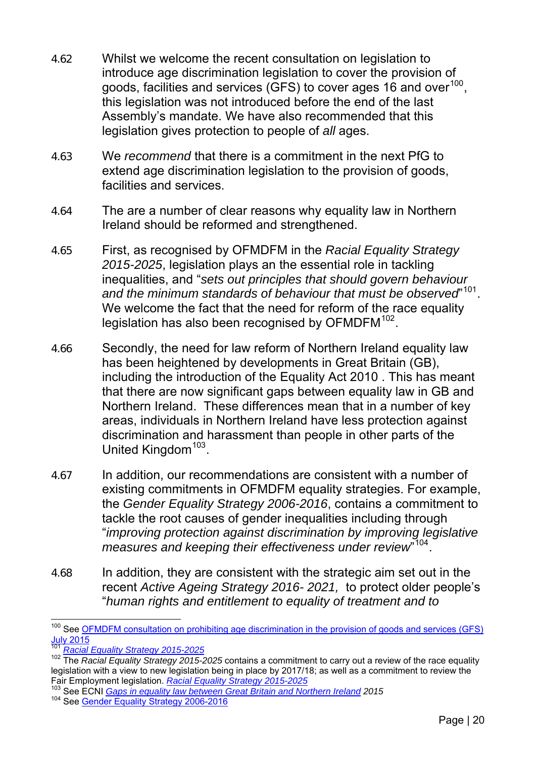- 4.62 Whilst we welcome the recent consultation on legislation to introduce age discrimination legislation to cover the provision of goods, facilities and services (GFS) to cover ages 16 and over<sup>[100](#page-19-0)</sup>. this legislation was not introduced before the end of the last Assembly's mandate. We have also recommended that this legislation gives protection to people of *all* ages.
- 4.63 We *recommend* that there is a commitment in the next PfG to extend age discrimination legislation to the provision of goods, facilities and services.
- 4.64 The are a number of clear reasons why equality law in Northern Ireland should be reformed and strengthened.
- 4.65 First, as recognised by OFMDFM in the *Racial Equality Strategy 2015-2025*, legislation plays an the essential role in tackling inequalities, and "*sets out principles that should govern behaviour and the minimum standards of behaviour that must be observed*" [101](#page-19-1). We welcome the fact that the need for reform of the race equality legislation has also been recognised by OFMDFM<sup>[102](#page-19-2)</sup>.
- 4.66 Secondly, the need for law reform of Northern Ireland equality law has been heightened by developments in Great Britain (GB), including the introduction of the Equality Act 2010 . This has meant that there are now significant gaps between equality law in GB and Northern Ireland. These differences mean that in a number of key areas, individuals in Northern Ireland have less protection against discrimination and harassment than people in other parts of the United Kingdom<sup>[103](#page-19-3)</sup>.
- 4.67 In addition, our recommendations are consistent with a number of existing commitments in OFMDFM equality strategies. For example, the *Gender Equality Strategy 2006-2016*, contains a commitment to tackle the root causes of gender inequalities including through "*improving protection against discrimination by improving legislative measures and keeping their effectiveness under review*" [104](#page-19-4).
- 4.68 In addition, they are consistent with the strategic aim set out in the recent *Active Ageing Strategy 2016- 2021,* to protect older people's "*human rights and entitlement to equality of treatment and to*

<span id="page-19-0"></span> $\overline{a}$ <sup>100</sup> See OFMDFM consultation on prohibiting age discrimination in the provision of goods and services (GFS) [July 2015](https://www.ofmdfmni.gov.uk/consultations/proposals-extend-age-discrimination-legislation-age-goods-facilities-and-services)

<span id="page-19-2"></span><span id="page-19-1"></span><sup>&</sup>lt;sup>101</sup> *[Racial Equality Strategy 2015-2025](https://www.ofmdfmni.gov.uk/articles/racial-equality#toc-0)*<br><sup>102</sup> The *Racial Equality Strategy 2015-2025* contains a commitment to carry out a review of the race equality legislation with a view to new legislation being in place by 2017/18; as well as a commitment to review the

<span id="page-19-4"></span><span id="page-19-3"></span>Fair Employment legislation. *[Racial Equality Strategy 2015-2025](https://www.ofmdfmni.gov.uk/articles/racial-equality#toc-0)*<br><sup>103</sup> See ECNI *Gaps in equality law between Great Britain and Northern Ireland 2015*<br><sup>104</sup> See [Gender Equality Strategy 2006-2016](http://www.ofmdfmni.gov.uk/gender-equality-strategy-2006-2016-2nd-edition-large-print.pdf)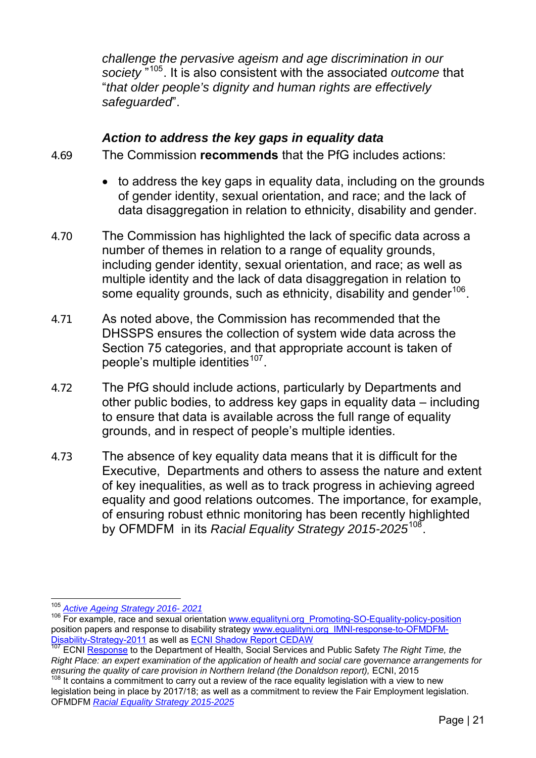*challenge the pervasive ageism and age discrimination in our society* "105. It is also consistent with the associated *outcome* that "*that older people's dignity and human rights are effectively safeguarded*".

### *Action to address the key gaps in equality data*

4.69 The Commission **recommends** that the PfG includes actions:

- to address the key gaps in equality data, including on the grounds of gender identity, sexual orientation, and race; and the lack of data disaggregation in relation to ethnicity, disability and gender.
- 4.70 The Commission has highlighted the lack of specific data across a number of themes in relation to a range of equality grounds, including gender identity, sexual orientation, and race; as well as multiple identity and the lack of data disaggregation in relation to some equality grounds, such as ethnicity, disability and gender<sup>[106](#page-20-0)</sup>.
- 4.71 As noted above, the Commission has recommended that the DHSSPS ensures the collection of system wide data across the Section 75 categories, and that appropriate account is taken of people's multiple identities<sup>[107](#page-20-1)</sup>.
- 4.72 The PfG should include actions, particularly by Departments and other public bodies, to address key gaps in equality data – including to ensure that data is available across the full range of equality grounds, and in respect of people's multiple identies.
- 4.73 The absence of key equality data means that it is difficult for the Executive, Departments and others to assess the nature and extent of key inequalities, as well as to track progress in achieving agreed equality and good relations outcomes. The importance, for example, of ensuring robust ethnic monitoring has been recently highlighted by OFMDFM in its *Racial Equality Strategy 2015-2025*[108](#page-20-2).

<sup>&</sup>lt;sup>105</sup> Active Ageing Strategy 2016-2021

<span id="page-20-0"></span><sup>105</sup> *Active Ageing Strategy 2016- 2021*106 [For example, race and sexual orien](https://www.ofmdfmni.gov.uk/sites/default/files/publications/ofmdfm/active-ageing-strategy.pdf)tation [www.equalityni.org\\_Promoting-SO-Equality-policy-position](http://www.equalityni.org/Publications/Delivering-Equality/Promoting-SO-Equality-policy-position?ID=2997) position papers and response to disability strategy www.equalityni.org\_IMNI-response-to-OFMDFM-<br>Disability-Strategy-2011 as well as ECNI Shadow Report CEDAW

<span id="page-20-1"></span>**Disamility-Strategy-2011** as the discussion EC Department of Health, Social Services and Public Safety *The Right Time, the*  $\frac{1}{107}$  $\frac{1}{107}$  $\frac{1}{107}$  ECNI [Response](http://www.google.co.uk/url?sa=t&rct=j&q=&esrc=s&source=web&cd=1&cad=rja&uact=8&ved=0ahUKEwjBq_eZ2b3KAhVJyRQKHRDiBmsQFggcMAA&url=http%3A%2F%2Fwww.equalityni.org%2FECNI%2Fmedia%2FECNI%2FConsultation%2520Responses%2F2015%2FDHSSPS-Health-SocialCareGovernance.) to the Department of Health, Social Services and Public Safety *The Ri Right Place: an expert examination of the application of health and social care governance arrangements for*  ensuring the quality of care provision in Northern Ireland (the Donaldson report), ECNI, 2015

<span id="page-20-2"></span><sup>&</sup>lt;sup>108</sup> It contains a commitment to carry out a review of the race equality legislation with a view to new legislation being in place by 2017/18; as well as a commitment to review the Fair Employment legislation. OFMDFM *[Racial Equality Strategy 2015-2025](https://www.ofmdfmni.gov.uk/articles/racial-equality#toc-0)*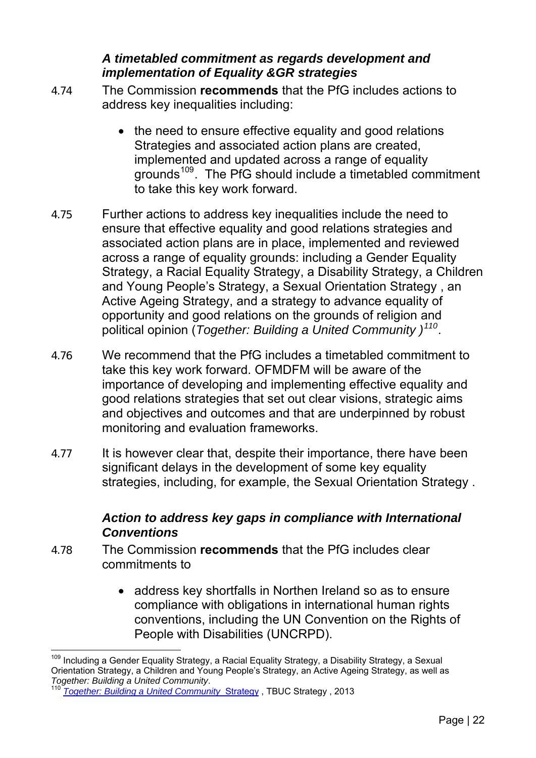## *A timetabled commitment as regards development and implementation of Equality &GR strategies*

- 4.74 The Commission **recommends** that the PfG includes actions to address key inequalities including:
	- the need to ensure effective equality and good relations Strategies and associated action plans are created, implemented and updated across a range of equality grounds<sup>[109](#page-21-0)</sup>. The PfG should include a timetabled commitment to take this key work forward.
- 4.75 Further actions to address key inequalities include the need to ensure that effective equality and good relations strategies and associated action plans are in place, implemented and reviewed across a range of equality grounds: including a Gender Equality Strategy, a Racial Equality Strategy, a Disability Strategy, a Children and Young People's Strategy, a Sexual Orientation Strategy , an Active Ageing Strategy, and a strategy to advance equality of opportunity and good relations on the grounds of religion and political opinion (*Together: Building a United Community )[110](#page-21-1)*.
- 4.76 We recommend that the PfG includes a timetabled commitment to take this key work forward. OFMDFM will be aware of the importance of developing and implementing effective equality and good relations strategies that set out clear visions, strategic aims and objectives and outcomes and that are underpinned by robust monitoring and evaluation frameworks.
- 4.77 It is however clear that, despite their importance, there have been significant delays in the development of some key equality strategies, including, for example, the Sexual Orientation Strategy .

### *Action to address key gaps in compliance with International Conventions*

- 4.78 The Commission **recommends** that the PfG includes clear commitments to
	- address key shortfalls in Northen Ireland so as to ensure compliance with obligations in international human rights conventions, including the UN Convention on the Rights of People with Disabilities (UNCRPD).

<span id="page-21-0"></span> $\overline{a}$  $^{109}$  Including a Gender Equality Strategy, a Racial Equality Strategy, a Disability Strategy, a Sexual Orientation Strategy, a Children and Young People's Strategy, an Active Ageing Strategy, as well as<br>Together: Building a United Community.

<span id="page-21-1"></span>*[Together: Building a United Community](https://www.google.co.uk/url?sa=t&rct=j&q=&esrc=s&source=web&cd=1&cad=rja&uact=8&ved=0ahUKEwivk96ltbvKAhWEbiYKHck7ABwQFggcMAA&url=https%3A%2F%2Fwww.ofmdfmni.gov.uk%2Farticles%2Ftogether-building-united-community&usg=AFQjCNEZ6cMQxjl_dEt70fn-qDTp1PO8WA&bvm=b)* Strategy, TBUC Strategy, 2013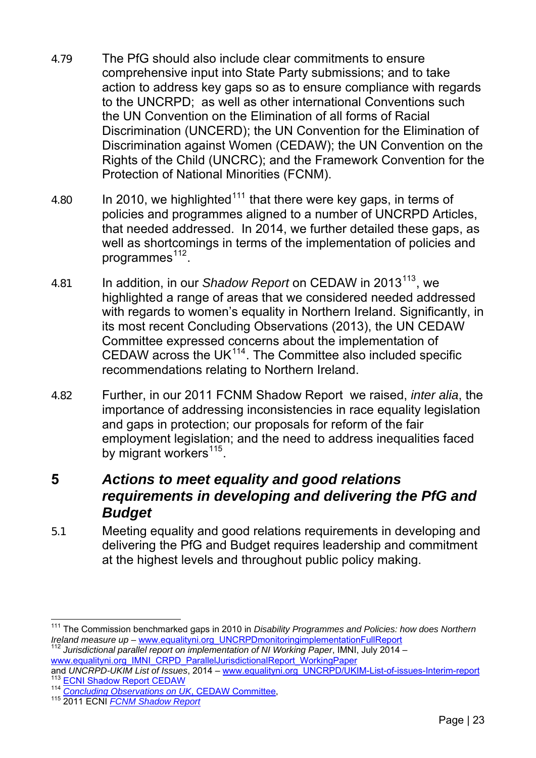- 4.79 The PfG should also include clear commitments to ensure comprehensive input into State Party submissions; and to take action to address key gaps so as to ensure compliance with regards to the UNCRPD; as well as other international Conventions such the UN Convention on the Elimination of all forms of Racial Discrimination (UNCERD); the UN Convention for the Elimination of Discrimination against Women (CEDAW); the UN Convention on the Rights of the Child (UNCRC); and the Framework Convention for the Protection of National Minorities (FCNM).
- 4.80 In 2010, we highlighted<sup>[111](#page-22-0)</sup> that there were key gaps, in terms of policies and programmes aligned to a number of UNCRPD Articles, that needed addressed. In 2014, we further detailed these gaps, as well as shortcomings in terms of the implementation of policies and programmes $112$ .
- 4.81 In addition, in our *Shadow Report* on CEDAW in 2013[113](#page-22-2), we highlighted a range of areas that we considered needed addressed with regards to women's equality in Northern Ireland. Significantly, in its most recent Concluding Observations (2013), the UN CEDAW Committee expressed concerns about the implementation of CEDAW across the UK $114$ . The Committee also included specific recommendations relating to Northern Ireland.
- 4.82 Further, in our 2011 FCNM Shadow Report we raised, *inter alia*, the importance of addressing inconsistencies in race equality legislation and gaps in protection; our proposals for reform of the fair employment legislation; and the need to address inequalities faced by migrant workers $^{115}$  $^{115}$  $^{115}$ .

# **5** *Actions to meet equality and good relations requirements in developing and delivering the PfG and Budget*

5.1 Meeting equality and good relations requirements in developing and delivering the PfG and Budget requires leadership and commitment at the highest levels and throughout public policy making.

<span id="page-22-0"></span> $\overline{a}$ <sup>111</sup> The Commission benchmarked gaps in 2010 in *Disability Programmes and Policies: how does Northern Ireland measure up –* [www.equalityni.org\\_UNCRPDmonitoringimplementationFullReport](http://www.equalityni.org/ECNI/media/ECNI/Publications/Delivering%20Equality/UNCRPDmonitoringimplementationFullReport0112.pdf) <sup>112</sup> *Jurisdictional parallel report on implementation of NI Working Paper*, IMNI, July 2014 –

<span id="page-22-1"></span>[www.equalityni.org\\_IMNI\\_CRPD\\_ParallelJurisdictionalReport\\_WorkingPaper](http://www.equalityni.org/ECNI/media/ECNI/Publications/Delivering%20Equality/IMNI_CRPD_ParallelJurisdictionalReport_WorkingPaper_v1_080714.pdf?ext=.pdf)<br>and UNCRPD-UKIM List of Issues, 2014 – www.equalityni.org\_UNCRPD/UKIM-List-of-issues-Interim-report

<span id="page-22-3"></span><span id="page-22-2"></span><sup>&</sup>lt;sup>113</sup> ECNI Shadow Report CEDAW<br><sup>114</sup> Concluding Observations on UK[, CEDAW Committee](http://www.edf.org.uk/blog/wp-content/uploads/2013/07/INT_CEDAW_COC_GBR_14761_E.doc),<br><sup>115</sup> [2011 ECNI](http://www.edf.org.uk/blog/wp-content/uploads/2013/07/INT_CEDAW_COC_GBR_14761_E.doc) *FCNM Shadow Report* 

<span id="page-22-4"></span>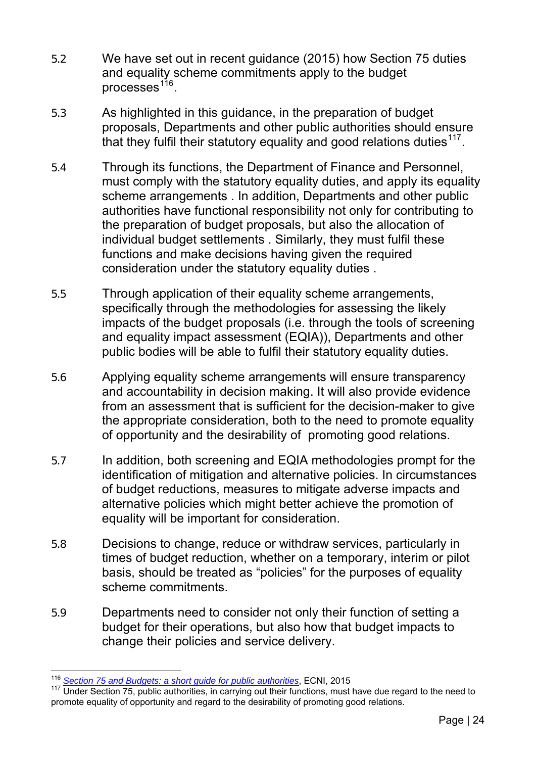- 5.2 We have set out in recent guidance (2015) how Section 75 duties and equality scheme commitments apply to the budget processes<sup>[116](#page-23-0)</sup>.
- 5.3 As highlighted in this guidance, in the preparation of budget proposals, Departments and other public authorities should ensure that they fulfil their statutory equality and good relations duties $117$ .
- 5.4 Through its functions, the Department of Finance and Personnel, must comply with the statutory equality duties, and apply its equality scheme arrangements . In addition, Departments and other public authorities have functional responsibility not only for contributing to the preparation of budget proposals, but also the allocation of individual budget settlements . Similarly, they must fulfil these functions and make decisions having given the required consideration under the statutory equality duties .
- 5.5 Through application of their equality scheme arrangements, specifically through the methodologies for assessing the likely impacts of the budget proposals (i.e. through the tools of screening and equality impact assessment (EQIA)), Departments and other public bodies will be able to fulfil their statutory equality duties.
- 5.6 Applying equality scheme arrangements will ensure transparency and accountability in decision making. It will also provide evidence from an assessment that is sufficient for the decision-maker to give the appropriate consideration, both to the need to promote equality of opportunity and the desirability of promoting good relations.
- 5.7 In addition, both screening and EQIA methodologies prompt for the identification of mitigation and alternative policies. In circumstances of budget reductions, measures to mitigate adverse impacts and alternative policies which might better achieve the promotion of equality will be important for consideration.
- 5.8 Decisions to change, reduce or withdraw services, particularly in times of budget reduction, whether on a temporary, interim or pilot basis, should be treated as "policies" for the purposes of equality scheme commitments.
- 5.9 Departments need to consider not only their function of setting a budget for their operations, but also how that budget impacts to change their policies and service delivery.

 $\overline{a}$ <sup>116</sup> *[Section 75 and Budgets: a short guide for public authorities](http://www.equalityni.org/ECNI/media/ECNI/Publications/Employers%20and%20Service%20Providers/Public%20Authorities/Section_75_and_Budgets_short_guide.pdf?ext=.pdf)*, ECNI, 2015

<span id="page-23-1"></span><span id="page-23-0"></span>Under Section 75, public authorities, in carrying out their functions, must have due regard to the need to promote equality of opportunity and regard to the desirability of promoting good relations.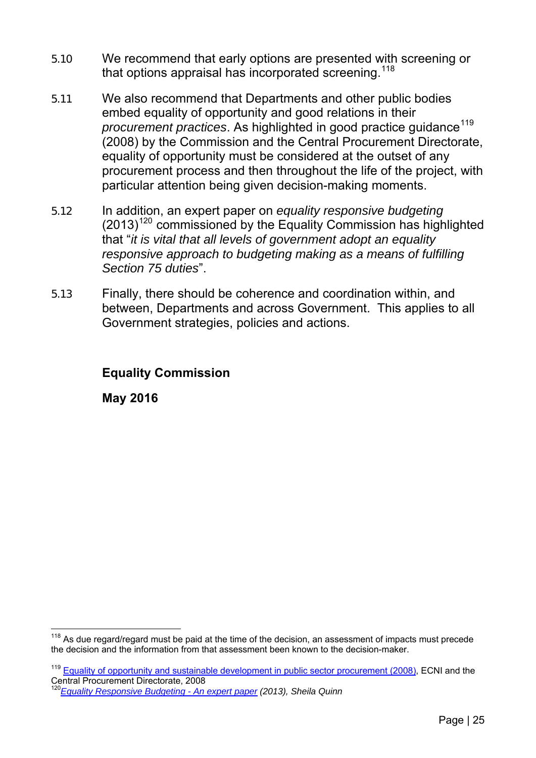- 5.10 We recommend that early options are presented with screening or that options appraisal has incorporated screening.  $118$
- 5.11 We also recommend that Departments and other public bodies embed equality of opportunity and good relations in their *procurement practices*. As highlighted in good practice quidance<sup>[119](#page-24-1)</sup> (2008) by the Commission and the Central Procurement Directorate, equality of opportunity must be considered at the outset of any procurement process and then throughout the life of the project, with particular attention being given decision-making moments.
- 5.12 In addition, an expert paper on *equality responsive budgeting*  $(2013)^{120}$  $(2013)^{120}$  $(2013)^{120}$  commissioned by the Equality Commission has highlighted that "*it is vital that all levels of government adopt an equality responsive approach to budgeting making as a means of fulfilling Section 75 duties*".
- 5.13 Finally, there should be coherence and coordination within, and between, Departments and across Government. This applies to all Government strategies, policies and actions.

#### **Equality Commission**

**May 2016** 

<span id="page-24-0"></span> $118$  As due regard/regard must be paid at the time of the decision, an assessment of impacts must precede the decision and the information from that assessment been known to the decision-maker.

<span id="page-24-1"></span><sup>&</sup>lt;sup>119</sup> [Equality of opportunity and sustainable development in public sector procurement \(2008\)](http://www.equalityni.org/ECNI/media/ECNI/Publications/Employers%20and%20Service%20Providers/Equalityinpublicsectorprocurement2008.pdf?ext=.pdf), ECNI and the Central Procurement Directorate, 2008

<span id="page-24-2"></span><sup>120</sup>*[Equality Responsive Budgeting - An expert paper](http://www.equalityni.org/Publications/Employers-Service-Providers/Public-Authorities/Equality-responsive-budgeting?ID=1243) (2013), Sheila Quinn*